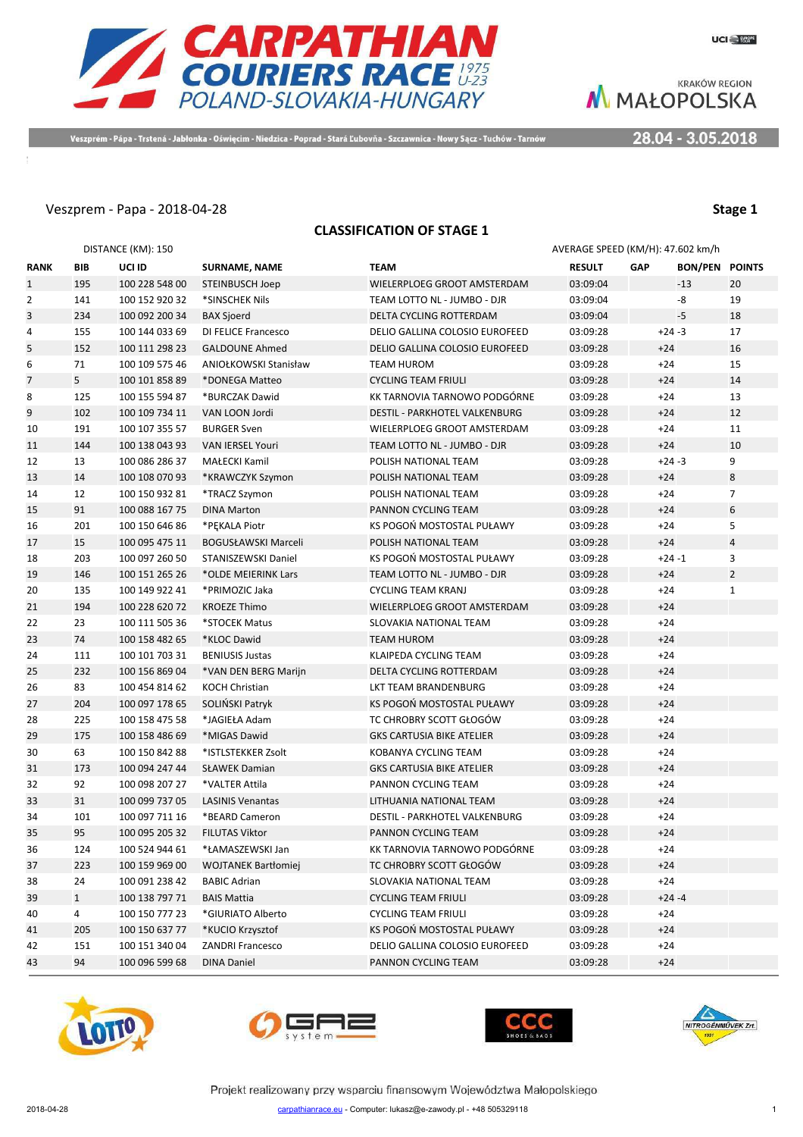

Veszprém - Pápa - Trstená - Jabłonka - Oświęcim - Niedzica - Poprad - Stará Ľubovňa - Szczawnica - Nowy Sącz - Tuchów - Tarnów

28.04 - 3.05.2018

#### Veszprem - Papa - 2018-04-28 **Stage 1**

|              | <b>CLASSIFICATION OF STAGE 1</b> |                    |                            |                                  |                                   |            |                       |                |  |
|--------------|----------------------------------|--------------------|----------------------------|----------------------------------|-----------------------------------|------------|-----------------------|----------------|--|
|              |                                  | DISTANCE (KM): 150 |                            |                                  | AVERAGE SPEED (KM/H): 47.602 km/h |            |                       |                |  |
| <b>RANK</b>  | <b>BIB</b>                       | UCI ID             | <b>SURNAME, NAME</b>       | <b>TEAM</b>                      | <b>RESULT</b>                     | <b>GAP</b> | <b>BON/PEN POINTS</b> |                |  |
| $\mathbf{1}$ | 195                              | 100 228 548 00     | <b>STEINBUSCH Joep</b>     | WIELERPLOEG GROOT AMSTERDAM      | 03:09:04                          |            | $-13$                 | 20             |  |
| 2            | 141                              | 100 152 920 32     | *SINSCHEK Nils             | TEAM LOTTO NL - JUMBO - DJR      | 03:09:04                          |            | -8                    | 19             |  |
| 3            | 234                              | 100 092 200 34     | <b>BAX Sjoerd</b>          | DELTA CYCLING ROTTERDAM          | 03:09:04                          |            | $-5$                  | 18             |  |
| 4            | 155                              | 100 144 033 69     | DI FELICE Francesco        | DELIO GALLINA COLOSIO EUROFEED   | 03:09:28                          |            | $+24 -3$              | 17             |  |
| 5            | 152                              | 100 111 298 23     | <b>GALDOUNE Ahmed</b>      | DELIO GALLINA COLOSIO EUROFEED   | 03:09:28                          | $+24$      |                       | 16             |  |
| 6            | 71                               | 100 109 575 46     | ANIOŁKOWSKI Stanisław      | <b>TEAM HUROM</b>                | 03:09:28                          | $+24$      |                       | 15             |  |
| 7            | 5                                | 100 101 858 89     | *DONEGA Matteo             | <b>CYCLING TEAM FRIULI</b>       | 03:09:28                          | $+24$      |                       | 14             |  |
| 8            | 125                              | 100 155 594 87     | *BURCZAK Dawid             | KK TARNOVIA TARNOWO PODGÓRNE     | 03:09:28                          | $+24$      |                       | 13             |  |
| 9            | 102                              | 100 109 734 11     | VAN LOON Jordi             | DESTIL - PARKHOTEL VALKENBURG    | 03:09:28                          | $+24$      |                       | 12             |  |
| 10           | 191                              | 100 107 355 57     | <b>BURGER Sven</b>         | WIELERPLOEG GROOT AMSTERDAM      | 03:09:28                          | $+24$      |                       | 11             |  |
| 11           | 144                              | 100 138 043 93     | <b>VAN IERSEL Youri</b>    | TEAM LOTTO NL - JUMBO - DJR      | 03:09:28                          | $+24$      |                       | 10             |  |
| 12           | 13                               | 100 086 286 37     | MAŁECKI Kamil              | POLISH NATIONAL TEAM             | 03:09:28                          |            | $+24 -3$              | 9              |  |
|              | 14                               |                    |                            |                                  |                                   | $+24$      |                       | 8              |  |
| 13           |                                  | 100 108 070 93     | *KRAWCZYK Szymon           | POLISH NATIONAL TEAM             | 03:09:28                          |            |                       | $\overline{7}$ |  |
| 14           | 12                               | 100 150 932 81     | *TRACZ Szymon              | POLISH NATIONAL TEAM             | 03:09:28                          | $+24$      |                       |                |  |
| 15           | 91                               | 100 088 167 75     | <b>DINA Marton</b>         | PANNON CYCLING TEAM              | 03:09:28                          | $+24$      |                       | 6              |  |
| 16           | 201                              | 100 150 646 86     | *PEKALA Piotr              | KS POGOŃ MOSTOSTAL PUŁAWY        | 03:09:28                          | $+24$      |                       | 5              |  |
| 17           | 15                               | 100 095 475 11     | <b>BOGUSŁAWSKI Marceli</b> | POLISH NATIONAL TEAM             | 03:09:28                          | $+24$      |                       | $\overline{4}$ |  |
| 18           | 203                              | 100 097 260 50     | <b>STANISZEWSKI Daniel</b> | KS POGOŃ MOSTOSTAL PUŁAWY        | 03:09:28                          |            | $+24 -1$              | 3              |  |
| 19           | 146                              | 100 151 265 26     | *OLDE MEIERINK Lars        | TEAM LOTTO NL - JUMBO - DJR      | 03:09:28                          | $+24$      |                       | $\overline{2}$ |  |
| 20           | 135                              | 100 149 922 41     | *PRIMOZIC Jaka             | <b>CYCLING TEAM KRANJ</b>        | 03:09:28                          | $+24$      |                       | $\mathbf{1}$   |  |
| 21           | 194                              | 100 228 620 72     | <b>KROEZE Thimo</b>        | WIELERPLOEG GROOT AMSTERDAM      | 03:09:28                          | $+24$      |                       |                |  |
| 22           | 23                               | 100 111 505 36     | *STOCEK Matus              | SLOVAKIA NATIONAL TEAM           | 03:09:28                          | $+24$      |                       |                |  |
| 23           | 74                               | 100 158 482 65     | *KLOC Dawid                | <b>TEAM HUROM</b>                | 03:09:28                          | $+24$      |                       |                |  |
| 24           | 111                              | 100 101 703 31     | <b>BENIUSIS Justas</b>     | KLAIPEDA CYCLING TEAM            | 03:09:28                          | $+24$      |                       |                |  |
| 25           | 232                              | 100 156 869 04     | *VAN DEN BERG Marijn       | DELTA CYCLING ROTTERDAM          | 03:09:28                          | $+24$      |                       |                |  |
| 26           | 83                               | 100 454 814 62     | KOCH Christian             | LKT TEAM BRANDENBURG             | 03:09:28                          | $+24$      |                       |                |  |
| 27           | 204                              | 100 097 178 65     | SOLIŃSKI Patryk            | KS POGOŃ MOSTOSTAL PUŁAWY        | 03:09:28                          | $+24$      |                       |                |  |
| 28           | 225                              | 100 158 475 58     | *JAGIEŁA Adam              | TC CHROBRY SCOTT GŁOGÓW          | 03:09:28                          | $+24$      |                       |                |  |
| 29           | 175                              | 100 158 486 69     | *MIGAS Dawid               | <b>GKS CARTUSIA BIKE ATELIER</b> | 03:09:28                          | $+24$      |                       |                |  |
| 30           | 63                               | 100 150 842 88     | *ISTLSTEKKER Zsolt         | KOBANYA CYCLING TEAM             | 03:09:28                          | $+24$      |                       |                |  |
| 31           | 173                              | 100 094 247 44     | <b>SŁAWEK Damian</b>       | <b>GKS CARTUSIA BIKE ATELIER</b> | 03:09:28                          | $+24$      |                       |                |  |
| 32           | 92                               | 100 098 207 27     | *VALTER Attila             | PANNON CYCLING TEAM              | 03:09:28                          | $+24$      |                       |                |  |
| 33           | 31                               | 100 099 737 05     | <b>LASINIS Venantas</b>    | LITHUANIA NATIONAL TEAM          | 03:09:28                          | $+24$      |                       |                |  |
| 34           | 101                              | 100 097 711 16     | *BEARD Cameron             | DESTIL - PARKHOTEL VALKENBURG    | 03:09:28                          | $+24$      |                       |                |  |
| 35           | 95                               | 100 095 205 32     | <b>FILUTAS Viktor</b>      | PANNON CYCLING TEAM              | 03:09:28                          | $+24$      |                       |                |  |
| 36           | 124                              | 100 524 944 61     | *ŁAMASZEWSKI Jan           | KK TARNOVIA TARNOWO PODGÓRNE     | 03:09:28                          | $+24$      |                       |                |  |
| 37           | 223                              | 100 159 969 00     | <b>WOJTANEK Bartłomiej</b> | TC CHROBRY SCOTT GŁOGÓW          | 03:09:28                          | $+24$      |                       |                |  |
| 38           | 24                               | 100 091 238 42     | <b>BABIC Adrian</b>        | SLOVAKIA NATIONAL TEAM           | 03:09:28                          | $+24$      |                       |                |  |
| 39           | $\mathbf{1}$                     | 100 138 797 71     | <b>BAIS Mattia</b>         | <b>CYCLING TEAM FRIULI</b>       | 03:09:28                          |            | $+24 -4$              |                |  |
| 40           | 4                                | 100 150 777 23     | *GIURIATO Alberto          | <b>CYCLING TEAM FRIULI</b>       | 03:09:28                          | $+24$      |                       |                |  |
| 41           | 205                              | 100 150 637 77     | *KUCIO Krzysztof           | KS POGOŃ MOSTOSTAL PUŁAWY        | 03:09:28                          | $+24$      |                       |                |  |
| 42           | 151                              | 100 151 340 04     | <b>ZANDRI Francesco</b>    | DELIO GALLINA COLOSIO EUROFEED   | 03:09:28                          | $+24$      |                       |                |  |
| 43           | 94                               | 100 096 599 68     | <b>DINA Daniel</b>         | PANNON CYCLING TEAM              | 03:09:28                          | $+24$      |                       |                |  |
|              |                                  |                    |                            |                                  |                                   |            |                       |                |  |







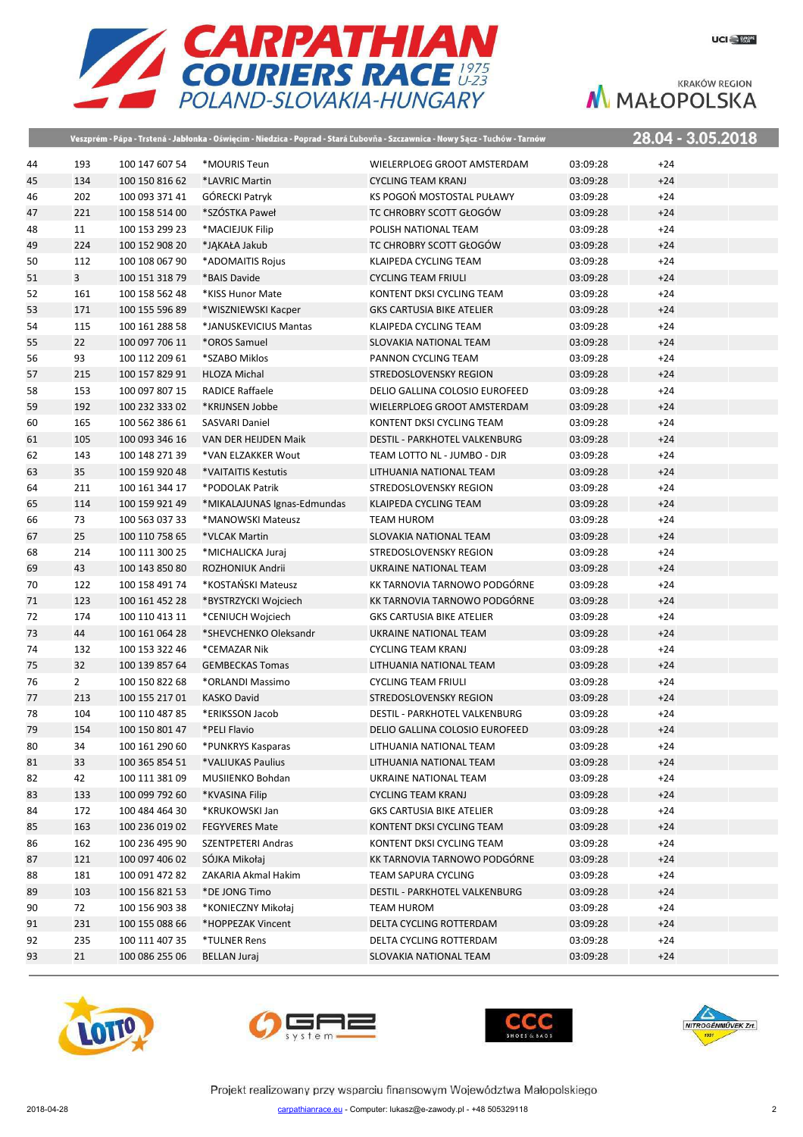

|    |                |                |                             | Veszprém - Pápa - Trstená - Jabłonka - Oświęcim - Niedzica - Poprad - Stará Ľubovňa - Szczawnica - Nowy Sącz - Tuchów - Tarnów |          |       | 28.04 - 3.05.2018 |
|----|----------------|----------------|-----------------------------|--------------------------------------------------------------------------------------------------------------------------------|----------|-------|-------------------|
| 44 | 193            | 100 147 607 54 | *MOURIS Teun                | WIELERPLOEG GROOT AMSTERDAM                                                                                                    | 03:09:28 | $+24$ |                   |
| 45 | 134            | 100 150 816 62 | *LAVRIC Martin              | <b>CYCLING TEAM KRANJ</b>                                                                                                      | 03:09:28 | $+24$ |                   |
| 46 | 202            | 100 093 371 41 | GÓRECKI Patryk              | KS POGOŃ MOSTOSTAL PUŁAWY                                                                                                      | 03:09:28 | $+24$ |                   |
| 47 | 221            | 100 158 514 00 | *SZÓSTKA Paweł              | TC CHROBRY SCOTT GŁOGÓW                                                                                                        | 03:09:28 | $+24$ |                   |
| 48 | 11             | 100 153 299 23 | *MACIEJUK Filip             | POLISH NATIONAL TEAM                                                                                                           | 03:09:28 | $+24$ |                   |
| 49 | 224            | 100 152 908 20 | *JAKAŁA Jakub               | TC CHROBRY SCOTT GŁOGÓW                                                                                                        | 03:09:28 | $+24$ |                   |
| 50 | 112            | 100 108 067 90 | *ADOMAITIS Rojus            | KLAIPEDA CYCLING TEAM                                                                                                          | 03:09:28 | $+24$ |                   |
| 51 | $\overline{3}$ | 100 151 318 79 | *BAIS Davide                | <b>CYCLING TEAM FRIULI</b>                                                                                                     | 03:09:28 | $+24$ |                   |
| 52 | 161            | 100 158 562 48 | *KISS Hunor Mate            | KONTENT DKSI CYCLING TEAM                                                                                                      | 03:09:28 | $+24$ |                   |
| 53 | 171            | 100 155 596 89 | *WISZNIEWSKI Kacper         | <b>GKS CARTUSIA BIKE ATELIER</b>                                                                                               | 03:09:28 | $+24$ |                   |
| 54 | 115            | 100 161 288 58 | *JANUSKEVICIUS Mantas       | KLAIPEDA CYCLING TEAM                                                                                                          | 03:09:28 | $+24$ |                   |
| 55 | 22             | 100 097 706 11 | *OROS Samuel                | SLOVAKIA NATIONAL TEAM                                                                                                         | 03:09:28 | $+24$ |                   |
| 56 | 93             | 100 112 209 61 | *SZABO Miklos               | PANNON CYCLING TEAM                                                                                                            | 03:09:28 | $+24$ |                   |
| 57 | 215            | 100 157 829 91 | <b>HLOZA Michal</b>         | STREDOSLOVENSKY REGION                                                                                                         | 03:09:28 | $+24$ |                   |
| 58 | 153            | 100 097 807 15 | <b>RADICE Raffaele</b>      | DELIO GALLINA COLOSIO EUROFEED                                                                                                 | 03:09:28 | $+24$ |                   |
| 59 | 192            | 100 232 333 02 | *KRIJNSEN Jobbe             | WIELERPLOEG GROOT AMSTERDAM                                                                                                    | 03:09:28 | $+24$ |                   |
| 60 | 165            | 100 562 386 61 | SASVARI Daniel              | KONTENT DKSI CYCLING TEAM                                                                                                      | 03:09:28 | $+24$ |                   |
| 61 | 105            | 100 093 346 16 | VAN DER HEIJDEN Maik        | DESTIL - PARKHOTEL VALKENBURG                                                                                                  | 03:09:28 | $+24$ |                   |
| 62 | 143            | 100 148 271 39 | *VAN ELZAKKER Wout          | TEAM LOTTO NL - JUMBO - DJR                                                                                                    | 03:09:28 | $+24$ |                   |
| 63 | 35             | 100 159 920 48 | *VAITAITIS Kestutis         | LITHUANIA NATIONAL TEAM                                                                                                        | 03:09:28 | $+24$ |                   |
| 64 | 211            | 100 161 344 17 | *PODOLAK Patrik             | STREDOSLOVENSKY REGION                                                                                                         | 03:09:28 | $+24$ |                   |
| 65 | 114            | 100 159 921 49 | *MIKALAJUNAS Ignas-Edmundas | <b>KLAIPEDA CYCLING TEAM</b>                                                                                                   | 03:09:28 | $+24$ |                   |
| 66 | 73             | 100 563 037 33 | *MANOWSKI Mateusz           | <b>TEAM HUROM</b>                                                                                                              | 03:09:28 | $+24$ |                   |
| 67 | 25             | 100 110 758 65 | *VLCAK Martin               | SLOVAKIA NATIONAL TEAM                                                                                                         | 03:09:28 | $+24$ |                   |
| 68 | 214            | 100 111 300 25 | *MICHALICKA Juraj           | STREDOSLOVENSKY REGION                                                                                                         | 03:09:28 | $+24$ |                   |
| 69 | 43             | 100 143 850 80 | ROZHONIUK Andrii            | UKRAINE NATIONAL TEAM                                                                                                          | 03:09:28 | $+24$ |                   |
| 70 | 122            | 100 158 491 74 | *KOSTAŃSKI Mateusz          | KK TARNOVIA TARNOWO PODGÓRNE                                                                                                   | 03:09:28 | $+24$ |                   |
| 71 | 123            | 100 161 452 28 | *BYSTRZYCKI Wojciech        | KK TARNOVIA TARNOWO PODGÓRNE                                                                                                   | 03:09:28 | $+24$ |                   |
| 72 | 174            | 100 110 413 11 | *CENIUCH Wojciech           | <b>GKS CARTUSIA BIKE ATELIER</b>                                                                                               | 03:09:28 | $+24$ |                   |
| 73 | 44             | 100 161 064 28 | *SHEVCHENKO Oleksandr       | UKRAINE NATIONAL TEAM                                                                                                          | 03:09:28 | $+24$ |                   |
| 74 | 132            | 100 153 322 46 | *CEMAZAR Nik                | <b>CYCLING TEAM KRANJ</b>                                                                                                      | 03:09:28 | $+24$ |                   |
| 75 | 32             | 100 139 857 64 | <b>GEMBECKAS Tomas</b>      | LITHUANIA NATIONAL TEAM                                                                                                        | 03:09:28 | $+24$ |                   |
| 76 | $\overline{2}$ | 100 150 822 68 | *ORLANDI Massimo            | <b>CYCLING TEAM FRIULI</b>                                                                                                     | 03:09:28 | $+24$ |                   |
| 77 | 213            | 100 155 217 01 | <b>KASKO David</b>          | STREDOSLOVENSKY REGION                                                                                                         | 03:09:28 | $+24$ |                   |
| 78 | 104            | 100 110 487 85 | *ERIKSSON Jacob             | DESTIL - PARKHOTEL VALKENBURG                                                                                                  | 03:09:28 | $+24$ |                   |
| 79 | 154            | 100 150 801 47 | *PELI Flavio                | DELIO GALLINA COLOSIO EUROFEED                                                                                                 | 03:09:28 | $+24$ |                   |
| 80 | 34             | 100 161 290 60 | *PUNKRYS Kasparas           | LITHUANIA NATIONAL TEAM                                                                                                        | 03:09:28 | $+24$ |                   |
| 81 | 33             | 100 365 854 51 | *VALIUKAS Paulius           | LITHUANIA NATIONAL TEAM                                                                                                        | 03:09:28 | $+24$ |                   |
| 82 | 42             | 100 111 381 09 | MUSIIENKO Bohdan            | UKRAINE NATIONAL TEAM                                                                                                          | 03:09:28 | $+24$ |                   |
| 83 | 133            | 100 099 792 60 | *KVASINA Filip              | <b>CYCLING TEAM KRANJ</b>                                                                                                      | 03:09:28 | $+24$ |                   |
| 84 | 172            | 100 484 464 30 | *KRUKOWSKI Jan              | <b>GKS CARTUSIA BIKE ATELIER</b>                                                                                               | 03:09:28 | $+24$ |                   |
| 85 | 163            | 100 236 019 02 | <b>FEGYVERES Mate</b>       | KONTENT DKSI CYCLING TEAM                                                                                                      | 03:09:28 | $+24$ |                   |
| 86 | 162            | 100 236 495 90 | SZENTPETERI Andras          | KONTENT DKSI CYCLING TEAM                                                                                                      | 03:09:28 | $+24$ |                   |
| 87 | 121            | 100 097 406 02 | SÓJKA Mikołaj               | KK TARNOVIA TARNOWO PODGÓRNE                                                                                                   | 03:09:28 | $+24$ |                   |
| 88 | 181            | 100 091 472 82 | ZAKARIA Akmal Hakim         | TEAM SAPURA CYCLING                                                                                                            | 03:09:28 | $+24$ |                   |
| 89 | 103            | 100 156 821 53 | *DE JONG Timo               | DESTIL - PARKHOTEL VALKENBURG                                                                                                  | 03:09:28 | $+24$ |                   |
| 90 | 72             | 100 156 903 38 | *KONIECZNY Mikołaj          | TEAM HUROM                                                                                                                     | 03:09:28 | $+24$ |                   |
| 91 | 231            | 100 155 088 66 | *HOPPEZAK Vincent           | DELTA CYCLING ROTTERDAM                                                                                                        | 03:09:28 | $+24$ |                   |
| 92 | 235            | 100 111 407 35 | *TULNER Rens                | DELTA CYCLING ROTTERDAM                                                                                                        | 03:09:28 | $+24$ |                   |
| 93 | 21             | 100 086 255 06 | <b>BELLAN Juraj</b>         | SLOVAKIA NATIONAL TEAM                                                                                                         | 03:09:28 | $+24$ |                   |







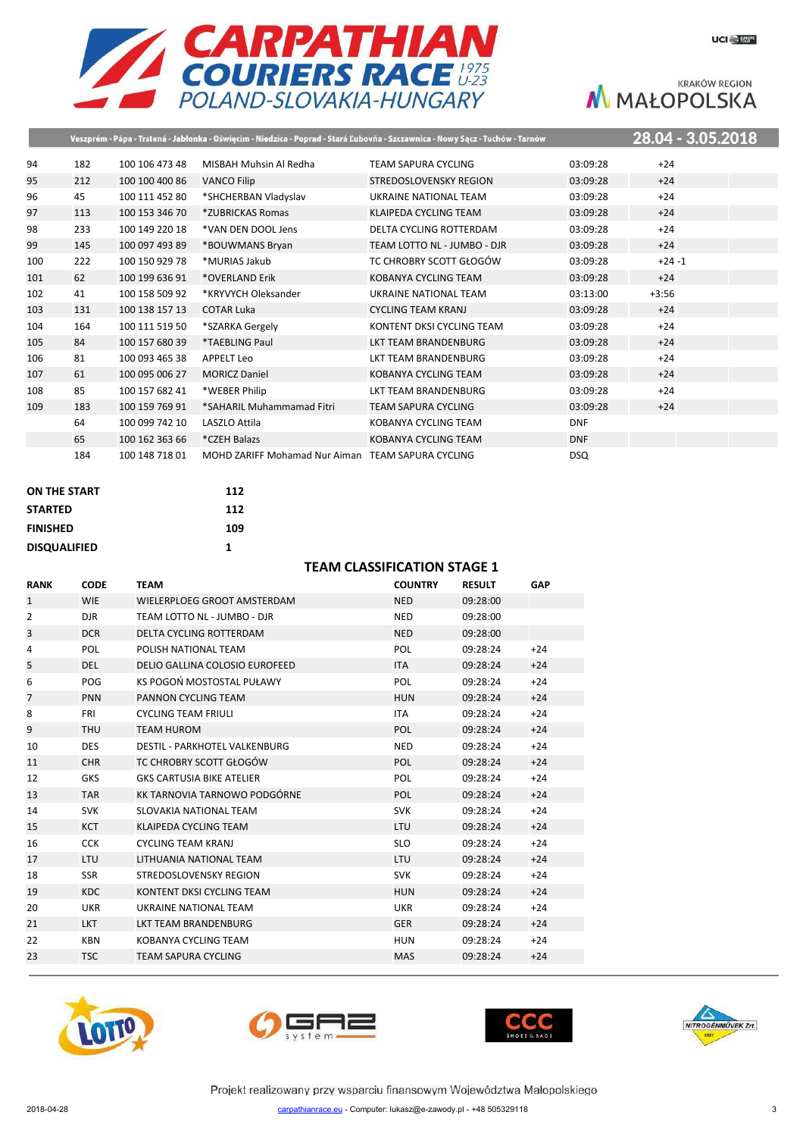

|     |     |                |                                                   | Veszprém - Pápa - Trstená - Jabłonka - Oświęcim - Niedzica - Poprad - Stará Ľubovňa - Szczawnica - Nowy Sącz - Tuchów - Tarnów |            | 28.04 - 3.05.2018 |  |
|-----|-----|----------------|---------------------------------------------------|--------------------------------------------------------------------------------------------------------------------------------|------------|-------------------|--|
| 94  | 182 | 100 106 473 48 | MISBAH Muhsin Al Redha                            | <b>TEAM SAPURA CYCLING</b>                                                                                                     | 03:09:28   | $+24$             |  |
| 95  | 212 | 100 100 400 86 | <b>VANCO Filip</b>                                | STREDOSLOVENSKY REGION                                                                                                         | 03:09:28   | $+24$             |  |
| 96  | 45  | 100 111 452 80 | *SHCHERBAN Vladyslav                              | UKRAINE NATIONAL TEAM                                                                                                          | 03:09:28   | $+24$             |  |
| 97  | 113 | 100 153 346 70 | *ZUBRICKAS Romas                                  | <b>KLAIPEDA CYCLING TEAM</b>                                                                                                   | 03:09:28   | $+24$             |  |
| 98  | 233 | 100 149 220 18 | *VAN DEN DOOL Jens                                | DELTA CYCLING ROTTERDAM                                                                                                        | 03:09:28   | $+24$             |  |
| 99  | 145 | 100 097 493 89 | *BOUWMANS Bryan                                   | TEAM LOTTO NL - JUMBO - DJR                                                                                                    | 03:09:28   | $+24$             |  |
| 100 | 222 | 100 150 929 78 | *MURIAS Jakub                                     | TC CHROBRY SCOTT GŁOGÓW                                                                                                        | 03:09:28   | $+24 -1$          |  |
| 101 | 62  | 100 199 636 91 | *OVERLAND Erik                                    | <b>KOBANYA CYCLING TEAM</b>                                                                                                    | 03:09:28   | $+24$             |  |
| 102 | 41  | 100 158 509 92 | *KRYVYCH Oleksander                               | UKRAINE NATIONAL TEAM                                                                                                          | 03:13:00   | $+3:56$           |  |
| 103 | 131 | 100 138 157 13 | <b>COTAR Luka</b>                                 | <b>CYCLING TEAM KRANJ</b>                                                                                                      | 03:09:28   | $+24$             |  |
| 104 | 164 | 100 111 519 50 | *SZARKA Gergely                                   | KONTENT DKSI CYCLING TEAM                                                                                                      | 03:09:28   | $+24$             |  |
| 105 | 84  | 100 157 680 39 | *TAEBLING Paul                                    | <b>LKT TEAM BRANDENBURG</b>                                                                                                    | 03:09:28   | $+24$             |  |
| 106 | 81  | 100 093 465 38 | <b>APPELT Leo</b>                                 | LKT TEAM BRANDENBURG                                                                                                           | 03:09:28   | $+24$             |  |
| 107 | 61  | 100 095 006 27 | <b>MORICZ Daniel</b>                              | KOBANYA CYCLING TEAM                                                                                                           | 03:09:28   | $+24$             |  |
| 108 | 85  | 100 157 682 41 | *WEBER Philip                                     | <b>LKT TEAM BRANDENBURG</b>                                                                                                    | 03:09:28   | $+24$             |  |
| 109 | 183 | 100 159 769 91 | *SAHARIL Muhammamad Fitri                         | <b>TEAM SAPURA CYCLING</b>                                                                                                     | 03:09:28   | $+24$             |  |
|     | 64  | 100 099 742 10 | LASZLO Attila                                     | KOBANYA CYCLING TEAM                                                                                                           | <b>DNF</b> |                   |  |
|     | 65  | 100 162 363 66 | *CZEH Balazs                                      | <b>KOBANYA CYCLING TEAM</b>                                                                                                    | <b>DNF</b> |                   |  |
|     | 184 | 100 148 718 01 | MOHD ZARIFF Mohamad Nur Aiman TEAM SAPURA CYCLING |                                                                                                                                | <b>DSQ</b> |                   |  |

| <b>ON THE START</b> | 112 |
|---------------------|-----|
| <b>STARTED</b>      | 112 |
| <b>FINISHED</b>     | 109 |
| <b>DISQUALIFIED</b> | 1   |

#### **TEAM CLASSIFICATION STAGE 1**

| <b>RANK</b>    | <b>CODE</b> | TEAM                             | <b>COUNTRY</b> | <b>RESULT</b> | <b>GAP</b> |
|----------------|-------------|----------------------------------|----------------|---------------|------------|
| $\mathbf{1}$   | <b>WIE</b>  | WIELERPLOEG GROOT AMSTERDAM      | <b>NED</b>     | 09:28:00      |            |
| $\overline{2}$ | <b>DJR</b>  | TEAM LOTTO NL - JUMBO - DJR      | <b>NED</b>     | 09:28:00      |            |
| 3              | <b>DCR</b>  | DELTA CYCLING ROTTERDAM          | <b>NED</b>     | 09:28:00      |            |
| 4              | <b>POL</b>  | POLISH NATIONAL TEAM             | <b>POL</b>     | 09:28:24      | $+24$      |
| 5              | <b>DEL</b>  | DELIO GALLINA COLOSIO EUROFEED   | <b>ITA</b>     | 09:28:24      | $+24$      |
| 6              | POG         | KS POGOŃ MOSTOSTAL PUŁAWY        | <b>POL</b>     | 09:28:24      | $+24$      |
| 7              | <b>PNN</b>  | PANNON CYCLING TEAM              | <b>HUN</b>     | 09:28:24      | $+24$      |
| 8              | <b>FRI</b>  | <b>CYCLING TEAM FRIULI</b>       | <b>ITA</b>     | 09:28:24      | $+24$      |
| 9              | <b>THU</b>  | <b>TEAM HUROM</b>                | <b>POL</b>     | 09:28:24      | $+24$      |
| 10             | <b>DES</b>  | DESTIL - PARKHOTEL VALKENBURG    | <b>NED</b>     | 09:28:24      | $+24$      |
| 11             | <b>CHR</b>  | TC CHROBRY SCOTT GŁOGÓW          | <b>POL</b>     | 09:28:24      | $+24$      |
| 12             | <b>GKS</b>  | <b>GKS CARTUSIA BIKE ATELIER</b> | POL            | 09:28:24      | $+24$      |
| 13             | <b>TAR</b>  | KK TARNOVIA TARNOWO PODGÓRNE     | <b>POL</b>     | 09:28:24      | $+24$      |
| 14             | <b>SVK</b>  | SLOVAKIA NATIONAL TEAM           | <b>SVK</b>     | 09:28:24      | $+24$      |
| 15             | <b>KCT</b>  | KLAIPEDA CYCLING TEAM            | <b>LTU</b>     | 09:28:24      | $+24$      |
| 16             | <b>CCK</b>  | <b>CYCLING TEAM KRANJ</b>        | <b>SLO</b>     | 09:28:24      | $+24$      |
| 17             | <b>LTU</b>  | LITHUANIA NATIONAL TEAM          | <b>LTU</b>     | 09:28:24      | $+24$      |
| 18             | <b>SSR</b>  | STREDOSLOVENSKY REGION           | <b>SVK</b>     | 09:28:24      | $+24$      |
| 19             | KDC         | KONTENT DKSI CYCLING TEAM        | <b>HUN</b>     | 09:28:24      | $+24$      |
| 20             | <b>UKR</b>  | UKRAINE NATIONAL TEAM            | <b>UKR</b>     | 09:28:24      | $+24$      |
| 21             | <b>LKT</b>  | <b>LKT TEAM BRANDENBURG</b>      | <b>GER</b>     | 09:28:24      | $+24$      |
| 22             | KBN         | KOBANYA CYCLING TEAM             | <b>HUN</b>     | 09:28:24      | $+24$      |
| 23             | <b>TSC</b>  | <b>TEAM SAPURA CYCLING</b>       | <b>MAS</b>     | 09:28:24      | $+24$      |
|                |             |                                  |                |               |            |







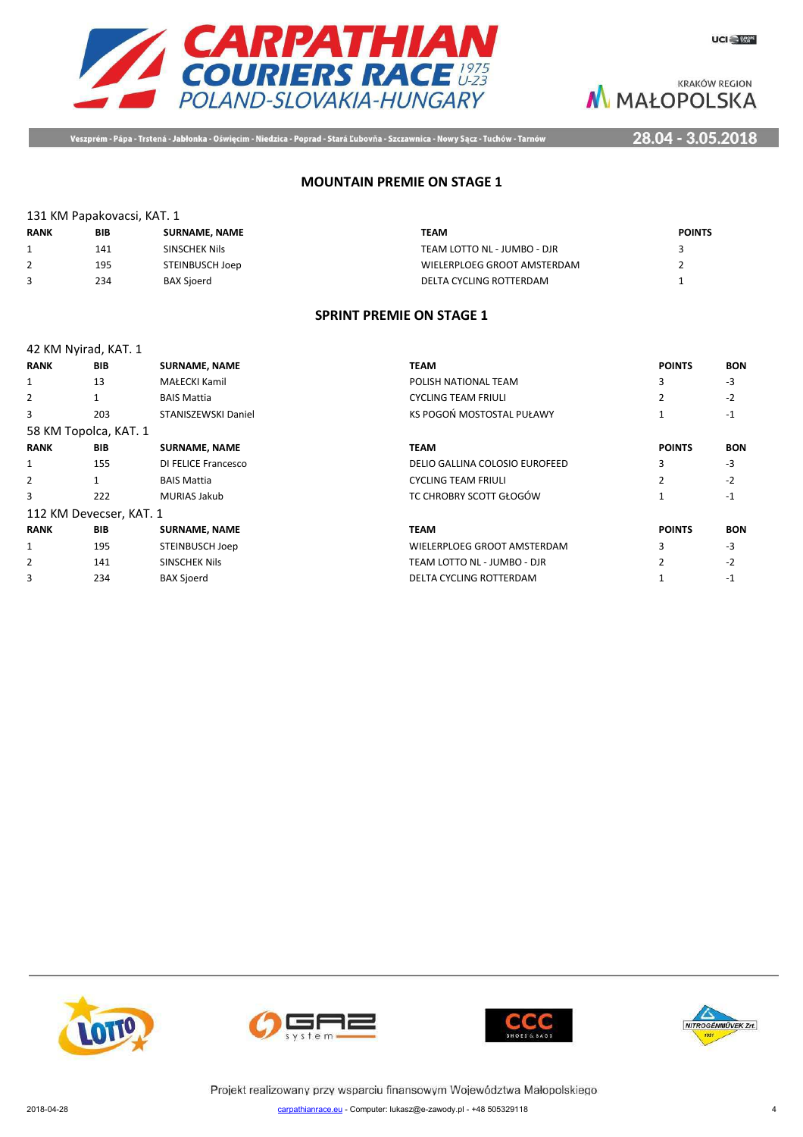



Veszprém - Pápa - Trstená - Jabłonka - Oświęcim - Niedzica - Poprad - Stará Ľubovňa - Szczawnica - Nowy Sącz - Tuchów - Tarnów

28.04 - 3.05.2018

### **MOUNTAIN PREMIE ON STAGE 1**

| 131 KM Papakovacsi, KAT. 1 |     |                 |                             |               |  |
|----------------------------|-----|-----------------|-----------------------------|---------------|--|
| <b>RANK</b>                | BIB | SURNAME, NAME   | <b>TEAM</b>                 | <b>POINTS</b> |  |
|                            | 141 | SINSCHEK Nils   | TEAM LOTTO NL - JUMBO - DJR |               |  |
|                            | 195 | STEINBUSCH Joep | WIELERPLOEG GROOT AMSTERDAM |               |  |
|                            | 234 | BAX Sjoerd      | DELTA CYCLING ROTTERDAM     |               |  |

#### **SPRINT PREMIE ON STAGE 1**

|                | 42 KM Nyirad, KAT. 1    |                      |                                |                |            |
|----------------|-------------------------|----------------------|--------------------------------|----------------|------------|
| <b>RANK</b>    | <b>BIB</b>              | <b>SURNAME, NAME</b> | TEAM                           | <b>POINTS</b>  | <b>BON</b> |
| 1              | 13                      | MAŁECKI Kamil        | POLISH NATIONAL TEAM           | 3              | $-3$       |
| 2              |                         | <b>BAIS Mattia</b>   | <b>CYCLING TEAM FRIULI</b>     | $\overline{2}$ | $-2$       |
| 3              | 203                     | STANISZEWSKI Daniel  | KS POGOŃ MOSTOSTAL PUŁAWY      | 1              | $-1$       |
|                | 58 KM Topolca, KAT. 1   |                      |                                |                |            |
| <b>RANK</b>    | <b>BIB</b>              | <b>SURNAME, NAME</b> | <b>TEAM</b>                    | <b>POINTS</b>  | <b>BON</b> |
| 1              | 155                     | DI FELICE Francesco  | DELIO GALLINA COLOSIO EUROFEED | 3              | $-3$       |
| $\overline{2}$ | $\mathbf{1}$            | <b>BAIS Mattia</b>   | <b>CYCLING TEAM FRIULI</b>     | $\mathcal{P}$  | $-2$       |
| 3              | 222                     | <b>MURIAS Jakub</b>  | TC CHROBRY SCOTT GŁOGÓW        |                | $-1$       |
|                | 112 KM Devecser, KAT. 1 |                      |                                |                |            |
| <b>RANK</b>    | <b>BIB</b>              | <b>SURNAME, NAME</b> | <b>TEAM</b>                    | <b>POINTS</b>  | <b>BON</b> |
| 1              | 195                     | STEINBUSCH Joep      | WIELERPLOEG GROOT AMSTERDAM    | 3              | $-3$       |
| 2              | 141                     | <b>SINSCHEK Nils</b> | TEAM LOTTO NL - JUMBO - DJR    | $\overline{2}$ | $-2$       |
| 3              | 234                     | <b>BAX Sjoerd</b>    | DELTA CYCLING ROTTERDAM        |                | $-1$       |







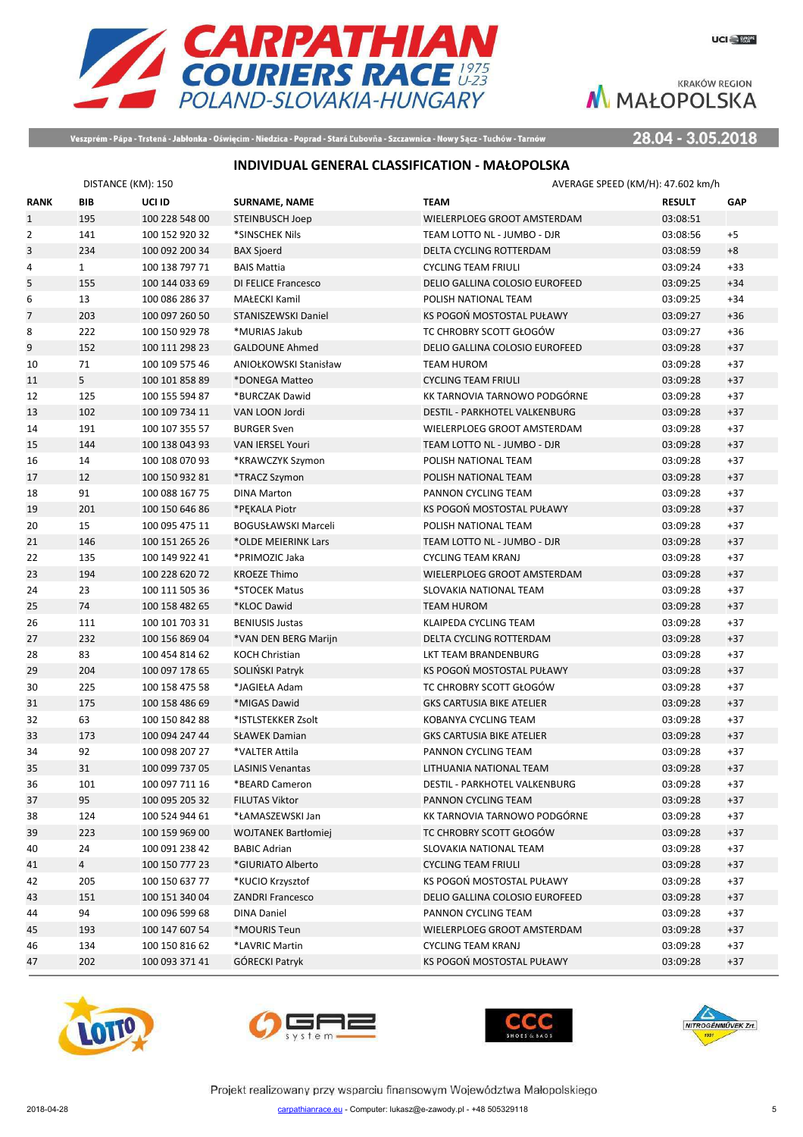



Veszprém - Pápa - Trstená - Jabłonka - Oświęcim - Niedzica - Poprad - Stará Ľubovňa - Szczawnica - Nowy Sącz - Tuchów - Tarnów

28.04 - 3.05.2018

# **INDIVIDUAL GENERAL CLASSIFICATION - MAŁOPOLSKA**

|                | DISTANCE (KM): 150 |                |                            |                                      | AVERAGE SPEED (KM/H): 47.602 km/h |            |
|----------------|--------------------|----------------|----------------------------|--------------------------------------|-----------------------------------|------------|
| <b>RANK</b>    | <b>BIB</b>         | UCI ID         | <b>SURNAME, NAME</b>       | <b>TEAM</b>                          | <b>RESULT</b>                     | <b>GAP</b> |
| $\mathbf{1}$   | 195                | 100 228 548 00 | <b>STEINBUSCH Joep</b>     | WIELERPLOEG GROOT AMSTERDAM          | 03:08:51                          |            |
| $\overline{2}$ | 141                | 100 152 920 32 | *SINSCHEK Nils             | TEAM LOTTO NL - JUMBO - DJR          | 03:08:56                          | $+5$       |
| 3              | 234                | 100 092 200 34 | <b>BAX Sjoerd</b>          | DELTA CYCLING ROTTERDAM              | 03:08:59                          | $+8$       |
| 4              | $\mathbf{1}$       | 100 138 797 71 | <b>BAIS Mattia</b>         | <b>CYCLING TEAM FRIULI</b>           | 03:09:24                          | $+33$      |
| 5              | 155                | 100 144 033 69 | DI FELICE Francesco        | DELIO GALLINA COLOSIO EUROFEED       | 03:09:25                          | $+34$      |
| 6              | 13                 | 100 086 286 37 | <b>MAŁECKI Kamil</b>       | POLISH NATIONAL TEAM                 | 03:09:25                          | $+34$      |
| $\overline{7}$ | 203                | 100 097 260 50 | STANISZEWSKI Daniel        | KS POGOŃ MOSTOSTAL PUŁAWY            | 03:09:27                          | $+36$      |
| 8              | 222                | 100 150 929 78 | *MURIAS Jakub              | TC CHROBRY SCOTT GŁOGÓW              | 03:09:27                          | $+36$      |
| 9              | 152                | 100 111 298 23 | <b>GALDOUNE Ahmed</b>      | DELIO GALLINA COLOSIO EUROFEED       | 03:09:28                          | $+37$      |
| 10             | 71                 | 100 109 575 46 | ANIOŁKOWSKI Stanisław      | <b>TEAM HUROM</b>                    | 03:09:28                          | $+37$      |
| 11             | 5                  | 100 101 858 89 | *DONEGA Matteo             | <b>CYCLING TEAM FRIULI</b>           | 03:09:28                          | $+37$      |
| 12             | 125                | 100 155 594 87 | *BURCZAK Dawid             | KK TARNOVIA TARNOWO PODGÓRNE         | 03:09:28                          | $+37$      |
| 13             | 102                | 100 109 734 11 | VAN LOON Jordi             | DESTIL - PARKHOTEL VALKENBURG        | 03:09:28                          | $+37$      |
| 14             | 191                | 100 107 355 57 | <b>BURGER Sven</b>         | WIELERPLOEG GROOT AMSTERDAM          | 03:09:28                          | $+37$      |
| 15             | 144                | 100 138 043 93 | VAN IERSEL Youri           | TEAM LOTTO NL - JUMBO - DJR          | 03:09:28                          | $+37$      |
| 16             | 14                 | 100 108 070 93 | *KRAWCZYK Szymon           | POLISH NATIONAL TEAM                 | 03:09:28                          | $+37$      |
| 17             | 12                 | 100 150 932 81 | *TRACZ Szymon              | POLISH NATIONAL TEAM                 | 03:09:28                          | $+37$      |
| 18             | 91                 | 100 088 167 75 | <b>DINA Marton</b>         | PANNON CYCLING TEAM                  | 03:09:28                          | $+37$      |
| 19             | 201                | 100 150 646 86 | *PEKALA Piotr              | KS POGOŃ MOSTOSTAL PUŁAWY            | 03:09:28                          | $+37$      |
| 20             | 15                 | 100 095 475 11 | BOGUSŁAWSKI Marceli        | POLISH NATIONAL TEAM                 | 03:09:28                          | $+37$      |
| 21             | 146                | 100 151 265 26 | *OLDE MEIERINK Lars        | TEAM LOTTO NL - JUMBO - DJR          | 03:09:28                          | $+37$      |
| 22             | 135                | 100 149 922 41 | *PRIMOZIC Jaka             | <b>CYCLING TEAM KRANJ</b>            | 03:09:28                          | $+37$      |
| 23             | 194                | 100 228 620 72 | <b>KROEZE Thimo</b>        | WIELERPLOEG GROOT AMSTERDAM          | 03:09:28                          | $+37$      |
| 24             | 23                 | 100 111 505 36 | *STOCEK Matus              | SLOVAKIA NATIONAL TEAM               | 03:09:28                          | $+37$      |
| 25             | 74                 | 100 158 482 65 | *KLOC Dawid                | <b>TEAM HUROM</b>                    | 03:09:28                          | $+37$      |
| 26             | 111                | 100 101 703 31 | <b>BENIUSIS Justas</b>     | KLAIPEDA CYCLING TEAM                | 03:09:28                          | $+37$      |
| 27             | 232                | 100 156 869 04 | *VAN DEN BERG Marijn       | DELTA CYCLING ROTTERDAM              | 03:09:28                          | $+37$      |
| 28             | 83                 | 100 454 814 62 | <b>KOCH Christian</b>      | LKT TEAM BRANDENBURG                 | 03:09:28                          | $+37$      |
| 29             | 204                | 100 097 178 65 | SOLINSKI Patryk            | KS POGOŃ MOSTOSTAL PUŁAWY            | 03:09:28                          | $+37$      |
| 30             | 225                | 100 158 475 58 | *JAGIEŁA Adam              | TC CHROBRY SCOTT GŁOGÓW              | 03:09:28                          | $+37$      |
| 31             | 175                | 100 158 486 69 | *MIGAS Dawid               | <b>GKS CARTUSIA BIKE ATELIER</b>     | 03:09:28                          | $+37$      |
| 32             | 63                 | 100 150 842 88 | *ISTLSTEKKER Zsolt         | KOBANYA CYCLING TEAM                 | 03:09:28                          | $+37$      |
| 33             | 173                | 100 094 247 44 | <b>SŁAWEK Damian</b>       | <b>GKS CARTUSIA BIKE ATELIER</b>     | 03:09:28                          | $+37$      |
| 34             | 92                 | 100 098 207 27 | *VALTER Attila             | PANNON CYCLING TEAM                  | 03:09:28                          | $+37$      |
| 35             | 31                 | 100 099 737 05 | <b>LASINIS Venantas</b>    | LITHUANIA NATIONAL TEAM              | 03:09:28                          | $+37$      |
| 36             | 101                | 100 097 711 16 | *BEARD Cameron             | <b>DESTIL - PARKHOTEL VALKENBURG</b> | 03:09:28                          | $+37$      |
| 37             | 95                 | 100 095 205 32 | <b>FILUTAS Viktor</b>      | PANNON CYCLING TEAM                  | 03:09:28                          | $+37$      |
| 38             | 124                | 100 524 944 61 | *ŁAMASZEWSKI Jan           | KK TARNOVIA TARNOWO PODGÓRNE         | 03:09:28                          | $+37$      |
| 39             | 223                | 100 159 969 00 | <b>WOJTANEK Bartłomiej</b> | TC CHROBRY SCOTT GŁOGÓW              | 03:09:28                          | $+37$      |
| 40             | 24                 | 100 091 238 42 | <b>BABIC Adrian</b>        | SLOVAKIA NATIONAL TEAM               | 03:09:28                          | $+37$      |
| 41             | $\overline{4}$     | 100 150 777 23 | *GIURIATO Alberto          | <b>CYCLING TEAM FRIULI</b>           | 03:09:28                          | $+37$      |
| 42             | 205                | 100 150 637 77 | *KUCIO Krzysztof           | KS POGOŃ MOSTOSTAL PUŁAWY            | 03:09:28                          | $+37$      |
| 43             | 151                | 100 151 340 04 | <b>ZANDRI Francesco</b>    | DELIO GALLINA COLOSIO EUROFEED       | 03:09:28                          | $+37$      |
| 44             | 94                 | 100 096 599 68 | <b>DINA Daniel</b>         | PANNON CYCLING TEAM                  | 03:09:28                          | $+37$      |
| 45             | 193                | 100 147 607 54 | *MOURIS Teun               | WIELERPLOEG GROOT AMSTERDAM          | 03:09:28                          | $+37$      |
| 46             | 134                | 100 150 816 62 | *LAVRIC Martin             | <b>CYCLING TEAM KRANJ</b>            | 03:09:28                          | $+37$      |
| 47             | 202                | 100 093 371 41 | GÓRECKI Patryk             | KS POGOŃ MOSTOSTAL PUŁAWY            | 03:09:28                          | $+37$      |







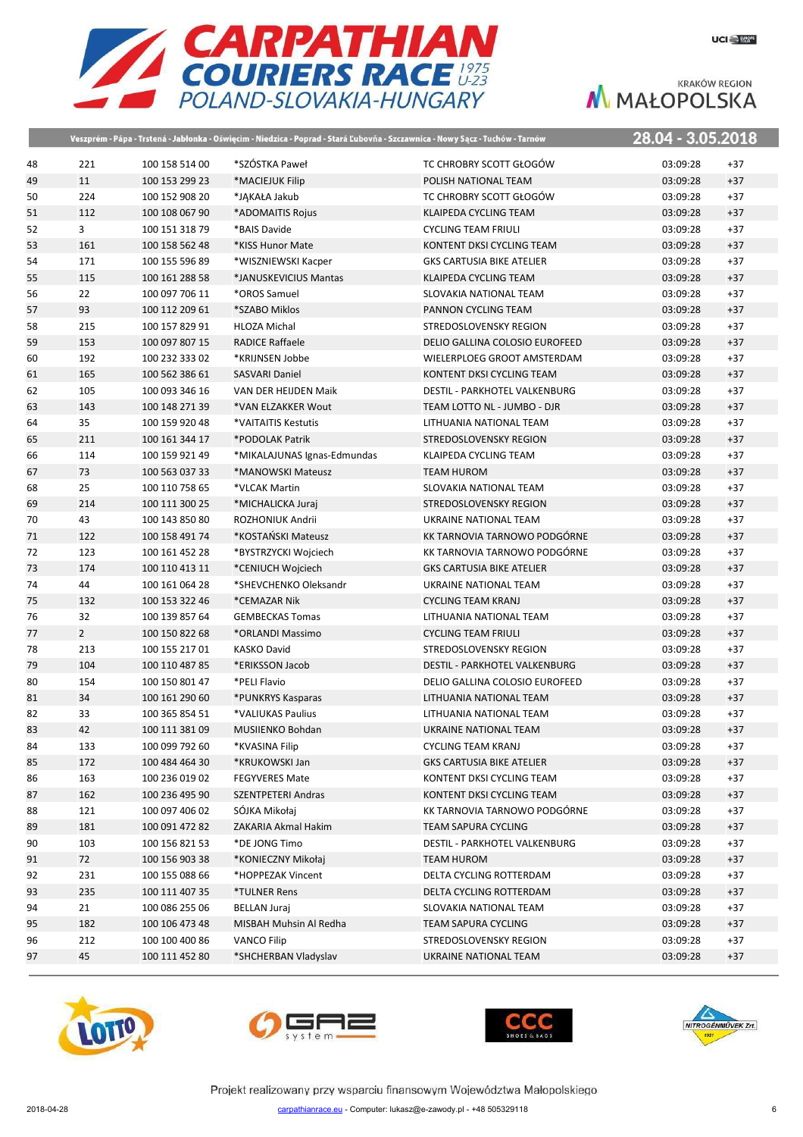

|    |                |                | Veszprém - Pápa - Trstená - Jabłonka - Oświęcim - Niedzica - Poprad - Stará Ľubovňa - Szczawnica - Nowy Sącz - Tuchów - Tarnów |                                  | 28.04 - 3.05.2018 |       |
|----|----------------|----------------|--------------------------------------------------------------------------------------------------------------------------------|----------------------------------|-------------------|-------|
| 48 | 221            | 100 158 514 00 | *SZÓSTKA Paweł                                                                                                                 | TC CHROBRY SCOTT GŁOGÓW          | 03:09:28          | $+37$ |
| 49 | 11             | 100 153 299 23 | *MACIEJUK Filip                                                                                                                | POLISH NATIONAL TEAM             | 03:09:28          | $+37$ |
| 50 | 224            | 100 152 908 20 | *JAKAŁA Jakub                                                                                                                  | TC CHROBRY SCOTT GŁOGÓW          | 03:09:28          | $+37$ |
| 51 | 112            | 100 108 067 90 | *ADOMAITIS Rojus                                                                                                               | <b>KLAIPEDA CYCLING TEAM</b>     | 03:09:28          | $+37$ |
| 52 | 3              | 100 151 318 79 | *BAIS Davide                                                                                                                   | <b>CYCLING TEAM FRIULI</b>       | 03:09:28          | $+37$ |
| 53 | 161            | 100 158 562 48 | *KISS Hunor Mate                                                                                                               | KONTENT DKSI CYCLING TEAM        | 03:09:28          | $+37$ |
| 54 | 171            | 100 155 596 89 | *WISZNIEWSKI Kacper                                                                                                            | <b>GKS CARTUSIA BIKE ATELIER</b> | 03:09:28          | $+37$ |
| 55 | 115            | 100 161 288 58 | *JANUSKEVICIUS Mantas                                                                                                          | KLAIPEDA CYCLING TEAM            | 03:09:28          | $+37$ |
| 56 | 22             | 100 097 706 11 | *OROS Samuel                                                                                                                   | SLOVAKIA NATIONAL TEAM           | 03:09:28          | $+37$ |
| 57 | 93             | 100 112 209 61 | *SZABO Miklos                                                                                                                  | PANNON CYCLING TEAM              | 03:09:28          | $+37$ |
| 58 | 215            | 100 157 829 91 | <b>HLOZA Michal</b>                                                                                                            | STREDOSLOVENSKY REGION           | 03:09:28          | $+37$ |
| 59 | 153            | 100 097 807 15 | <b>RADICE Raffaele</b>                                                                                                         | DELIO GALLINA COLOSIO EUROFEED   | 03:09:28          | $+37$ |
| 60 | 192            | 100 232 333 02 | *KRIJNSEN Jobbe                                                                                                                | WIELERPLOEG GROOT AMSTERDAM      | 03:09:28          | $+37$ |
| 61 | 165            | 100 562 386 61 | <b>SASVARI Daniel</b>                                                                                                          | KONTENT DKSI CYCLING TEAM        | 03:09:28          | $+37$ |
| 62 | 105            | 100 093 346 16 | VAN DER HEIJDEN Maik                                                                                                           | DESTIL - PARKHOTEL VALKENBURG    | 03:09:28          | $+37$ |
| 63 | 143            | 100 148 271 39 | *VAN ELZAKKER Wout                                                                                                             | TEAM LOTTO NL - JUMBO - DJR      | 03:09:28          | $+37$ |
| 64 | 35             | 100 159 920 48 | *VAITAITIS Kestutis                                                                                                            | LITHUANIA NATIONAL TEAM          | 03:09:28          | $+37$ |
| 65 | 211            | 100 161 344 17 | *PODOLAK Patrik                                                                                                                | <b>STREDOSLOVENSKY REGION</b>    | 03:09:28          | $+37$ |
| 66 | 114            | 100 159 921 49 | *MIKALAJUNAS Ignas-Edmundas                                                                                                    | KLAIPEDA CYCLING TEAM            | 03:09:28          | $+37$ |
| 67 | 73             | 100 563 037 33 | *MANOWSKI Mateusz                                                                                                              | <b>TEAM HUROM</b>                | 03:09:28          | $+37$ |
| 68 | 25             | 100 110 758 65 | *VLCAK Martin                                                                                                                  | SLOVAKIA NATIONAL TEAM           | 03:09:28          | $+37$ |
| 69 | 214            | 100 111 300 25 | *MICHALICKA Juraj                                                                                                              | STREDOSLOVENSKY REGION           | 03:09:28          | $+37$ |
| 70 | 43             | 100 143 850 80 | ROZHONIUK Andrii                                                                                                               | UKRAINE NATIONAL TEAM            | 03:09:28          | $+37$ |
| 71 | 122            | 100 158 491 74 | *KOSTAŃSKI Mateusz                                                                                                             | KK TARNOVIA TARNOWO PODGÓRNE     | 03:09:28          | $+37$ |
| 72 | 123            | 100 161 452 28 | *BYSTRZYCKI Wojciech                                                                                                           | KK TARNOVIA TARNOWO PODGÓRNE     | 03:09:28          | $+37$ |
| 73 | 174            | 100 110 413 11 | *CENIUCH Wojciech                                                                                                              | <b>GKS CARTUSIA BIKE ATELIER</b> | 03:09:28          | $+37$ |
| 74 | 44             | 100 161 064 28 | *SHEVCHENKO Oleksandr                                                                                                          | UKRAINE NATIONAL TEAM            | 03:09:28          | $+37$ |
| 75 | 132            | 100 153 322 46 | *CEMAZAR Nik                                                                                                                   | <b>CYCLING TEAM KRANJ</b>        | 03:09:28          | $+37$ |
| 76 | 32             | 100 139 857 64 | <b>GEMBECKAS Tomas</b>                                                                                                         | LITHUANIA NATIONAL TEAM          | 03:09:28          | $+37$ |
| 77 | $\overline{2}$ | 100 150 822 68 | *ORLANDI Massimo                                                                                                               | <b>CYCLING TEAM FRIULI</b>       | 03:09:28          | $+37$ |
| 78 | 213            | 100 155 217 01 | <b>KASKO David</b>                                                                                                             | STREDOSLOVENSKY REGION           | 03:09:28          | $+37$ |
| 79 | 104            | 100 110 487 85 | *ERIKSSON Jacob                                                                                                                | DESTIL - PARKHOTEL VALKENBURG    | 03:09:28          | $+37$ |
| 80 | 154            | 100 150 801 47 | *PELI Flavio                                                                                                                   | DELIO GALLINA COLOSIO EUROFEED   | 03:09:28          | $+37$ |
| 81 | 34             | 100 161 290 60 | *PUNKRYS Kasparas                                                                                                              | LITHUANIA NATIONAL TEAM          | 03:09:28          | $+37$ |
| 82 | 33             | 100 365 854 51 | *VALIUKAS Paulius                                                                                                              | LITHUANIA NATIONAL TEAM          | 03:09:28          | $+37$ |
| 83 | 42             | 100 111 381 09 | <b>MUSIIENKO Bohdan</b>                                                                                                        | UKRAINE NATIONAL TEAM            | 03:09:28          | $+37$ |
| 84 | 133            | 100 099 792 60 | *KVASINA Filip                                                                                                                 | <b>CYCLING TEAM KRANJ</b>        | 03:09:28          | $+37$ |
| 85 | 172            | 100 484 464 30 | *KRUKOWSKI Jan                                                                                                                 | <b>GKS CARTUSIA BIKE ATELIER</b> | 03:09:28          | $+37$ |
| 86 | 163            | 100 236 019 02 | <b>FEGYVERES Mate</b>                                                                                                          | KONTENT DKSI CYCLING TEAM        | 03:09:28          | $+37$ |
| 87 | 162            | 100 236 495 90 | <b>SZENTPETERI Andras</b>                                                                                                      | KONTENT DKSI CYCLING TEAM        | 03:09:28          | $+37$ |
| 88 | 121            | 100 097 406 02 | SÓJKA Mikołaj                                                                                                                  | KK TARNOVIA TARNOWO PODGÓRNE     | 03:09:28          | $+37$ |
| 89 | 181            | 100 091 472 82 | ZAKARIA Akmal Hakim                                                                                                            | <b>TEAM SAPURA CYCLING</b>       | 03:09:28          | $+37$ |
| 90 | 103            | 100 156 821 53 | *DE JONG Timo                                                                                                                  | DESTIL - PARKHOTEL VALKENBURG    | 03:09:28          | $+37$ |
| 91 | 72             | 100 156 903 38 | *KONIECZNY Mikołaj                                                                                                             | <b>TEAM HUROM</b>                | 03:09:28          | $+37$ |
| 92 | 231            | 100 155 088 66 | *HOPPEZAK Vincent                                                                                                              | DELTA CYCLING ROTTERDAM          | 03:09:28          | $+37$ |
| 93 | 235            | 100 111 407 35 | *TULNER Rens                                                                                                                   | DELTA CYCLING ROTTERDAM          | 03:09:28          | $+37$ |
| 94 | 21             | 100 086 255 06 | <b>BELLAN Juraj</b>                                                                                                            | SLOVAKIA NATIONAL TEAM           | 03:09:28          | $+37$ |
| 95 | 182            | 100 106 473 48 | MISBAH Muhsin Al Redha                                                                                                         | <b>TEAM SAPURA CYCLING</b>       | 03:09:28          | $+37$ |
| 96 | 212            | 100 100 400 86 | <b>VANCO Filip</b>                                                                                                             | STREDOSLOVENSKY REGION           | 03:09:28          | $+37$ |
| 97 | 45             | 100 111 452 80 | *SHCHERBAN Vladyslav                                                                                                           | UKRAINE NATIONAL TEAM            | 03:09:28          | $+37$ |
|    |                |                |                                                                                                                                |                                  |                   |       |







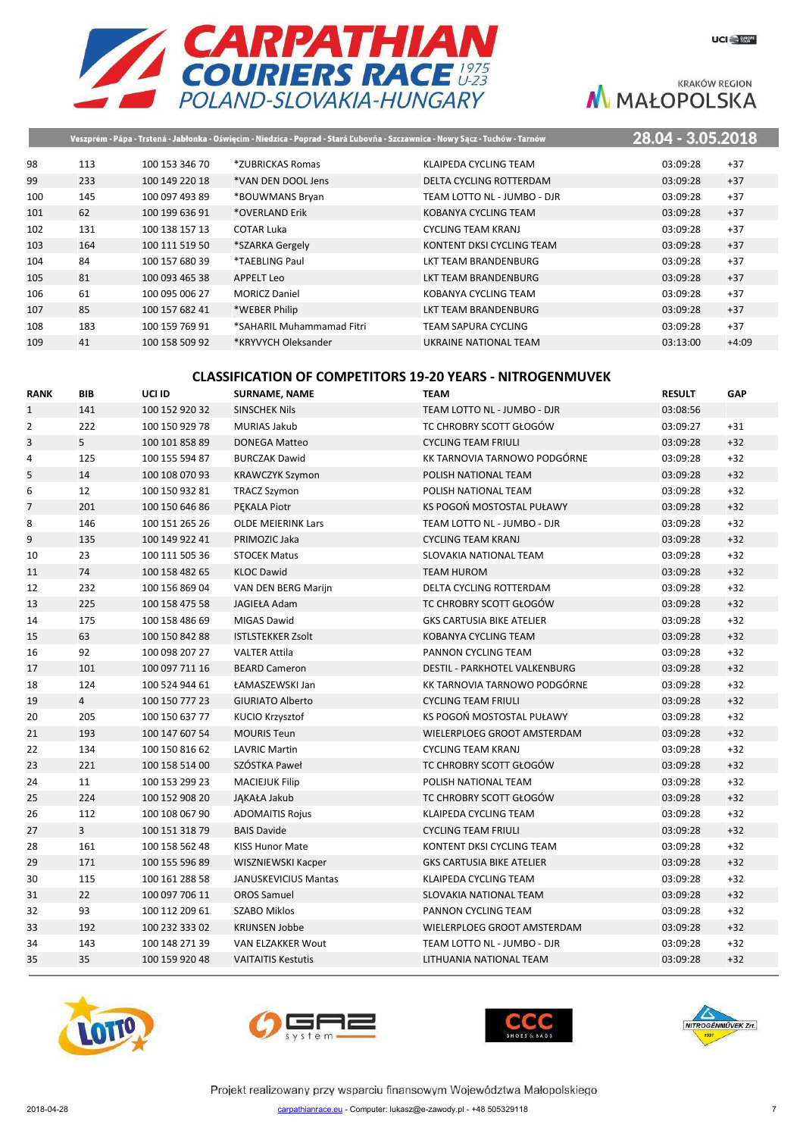



|     |     |                |                           | Veszprém - Pápa - Trstená - Jabłonka - Oświęcim - Niedzica - Poprad - Stará Ľubovňa - Szczawnica - Nowy Sącz - Tuchów - Tarnów | 28.04 - 3.05.2018 |         |
|-----|-----|----------------|---------------------------|--------------------------------------------------------------------------------------------------------------------------------|-------------------|---------|
| 98  | 113 | 100 153 346 70 | *ZUBRICKAS Romas          | KLAIPEDA CYCLING TEAM                                                                                                          | 03:09:28          | $+37$   |
| 99  | 233 | 100 149 220 18 | *VAN DEN DOOL Jens        | DELTA CYCLING ROTTERDAM                                                                                                        | 03:09:28          | $+37$   |
| 100 | 145 | 100 097 493 89 | *BOUWMANS Bryan           | TEAM LOTTO NL - JUMBO - DJR                                                                                                    | 03:09:28          | $+37$   |
| 101 | 62  | 100 199 636 91 | *OVERLAND Erik            | KOBANYA CYCLING TEAM                                                                                                           | 03:09:28          | $+37$   |
| 102 | 131 | 100 138 157 13 | COTAR Luka                | CYCLING TEAM KRANJ                                                                                                             | 03:09:28          | $+37$   |
| 103 | 164 | 100 111 519 50 | *SZARKA Gergely           | KONTENT DKSI CYCLING TEAM                                                                                                      | 03:09:28          | $+37$   |
| 104 | 84  | 100 157 680 39 | *TAEBLING Paul            | LKT TEAM BRANDENBURG                                                                                                           | 03:09:28          | $+37$   |
| 105 | 81  | 100 093 465 38 | <b>APPELT Leo</b>         | LKT TEAM BRANDENBURG                                                                                                           | 03:09:28          | $+37$   |
| 106 | 61  | 100 095 006 27 | <b>MORICZ Daniel</b>      | KOBANYA CYCLING TEAM                                                                                                           | 03:09:28          | $+37$   |
| 107 | 85  | 100 157 682 41 | *WEBER Philip             | LKT TEAM BRANDENBURG                                                                                                           | 03:09:28          | $+37$   |
| 108 | 183 | 100 159 769 91 | *SAHARIL Muhammamad Fitri | TEAM SAPURA CYCLING                                                                                                            | 03:09:28          | $+37$   |
| 109 | 41  | 100 158 509 92 | *KRYVYCH Oleksander       | UKRAINE NATIONAL TEAM                                                                                                          | 03:13:00          | $+4:09$ |
|     |     |                |                           |                                                                                                                                |                   |         |

## **CLASSIFICATION OF COMPETITORS 19-20 YEARS - NITROGENMUVEK**

| <b>RANK</b>    | <b>BIB</b>     | UCI ID         | <b>SURNAME, NAME</b>        | <b>TEAM</b>                      | <b>RESULT</b> | GAP   |
|----------------|----------------|----------------|-----------------------------|----------------------------------|---------------|-------|
| $\mathbf{1}$   | 141            | 100 152 920 32 | <b>SINSCHEK Nils</b>        | TEAM LOTTO NL - JUMBO - DJR      | 03:08:56      |       |
| $\overline{2}$ | 222            | 100 150 929 78 | <b>MURIAS Jakub</b>         | TC CHROBRY SCOTT GŁOGÓW          | 03:09:27      | $+31$ |
| 3              | 5              | 100 101 858 89 | <b>DONEGA Matteo</b>        | <b>CYCLING TEAM FRIULI</b>       | 03:09:28      | $+32$ |
| 4              | 125            | 100 155 594 87 | <b>BURCZAK Dawid</b>        | KK TARNOVIA TARNOWO PODGÓRNE     | 03:09:28      | $+32$ |
| 5              | 14             | 100 108 070 93 | <b>KRAWCZYK Szymon</b>      | POLISH NATIONAL TEAM             | 03:09:28      | $+32$ |
| 6              | 12             | 100 150 932 81 | <b>TRACZ Szymon</b>         | POLISH NATIONAL TEAM             | 03:09:28      | $+32$ |
| $\overline{7}$ | 201            | 100 150 646 86 | PEKALA Piotr                | KS POGOŃ MOSTOSTAL PUŁAWY        | 03:09:28      | $+32$ |
| 8              | 146            | 100 151 265 26 | <b>OLDE MEIERINK Lars</b>   | TEAM LOTTO NL - JUMBO - DJR      | 03:09:28      | $+32$ |
| 9              | 135            | 100 149 922 41 | PRIMOZIC Jaka               | <b>CYCLING TEAM KRANJ</b>        | 03:09:28      | $+32$ |
| 10             | 23             | 100 111 505 36 | <b>STOCEK Matus</b>         | SLOVAKIA NATIONAL TEAM           | 03:09:28      | $+32$ |
| 11             | 74             | 100 158 482 65 | <b>KLOC Dawid</b>           | <b>TEAM HUROM</b>                | 03:09:28      | $+32$ |
| 12             | 232            | 100 156 869 04 | VAN DEN BERG Marijn         | DELTA CYCLING ROTTERDAM          | 03:09:28      | $+32$ |
| 13             | 225            | 100 158 475 58 | <b>JAGIEŁA Adam</b>         | TC CHROBRY SCOTT GŁOGÓW          | 03:09:28      | $+32$ |
| 14             | 175            | 100 158 486 69 | <b>MIGAS Dawid</b>          | <b>GKS CARTUSIA BIKE ATELIER</b> | 03:09:28      | $+32$ |
| 15             | 63             | 100 150 842 88 | <b>ISTLSTEKKER Zsolt</b>    | KOBANYA CYCLING TEAM             | 03:09:28      | $+32$ |
| 16             | 92             | 100 098 207 27 | <b>VALTER Attila</b>        | PANNON CYCLING TEAM              | 03:09:28      | $+32$ |
| 17             | 101            | 100 097 711 16 | <b>BEARD Cameron</b>        | DESTIL - PARKHOTEL VALKENBURG    | 03:09:28      | $+32$ |
| 18             | 124            | 100 524 944 61 | ŁAMASZEWSKI Jan             | KK TARNOVIA TARNOWO PODGÓRNE     | 03:09:28      | $+32$ |
| 19             | $\overline{4}$ | 100 150 777 23 | <b>GIURIATO Alberto</b>     | <b>CYCLING TEAM FRIULI</b>       | 03:09:28      | $+32$ |
| 20             | 205            | 100 150 637 77 | KUCIO Krzysztof             | KS POGOŃ MOSTOSTAL PUŁAWY        | 03:09:28      | $+32$ |
| 21             | 193            | 100 147 607 54 | <b>MOURIS Teun</b>          | WIELERPLOEG GROOT AMSTERDAM      | 03:09:28      | $+32$ |
| 22             | 134            | 100 150 816 62 | <b>LAVRIC Martin</b>        | <b>CYCLING TEAM KRANJ</b>        | 03:09:28      | $+32$ |
| 23             | 221            | 100 158 514 00 | SZÓSTKA Paweł               | TC CHROBRY SCOTT GŁOGÓW          | 03:09:28      | $+32$ |
| 24             | 11             | 100 153 299 23 | <b>MACIEJUK Filip</b>       | POLISH NATIONAL TEAM             | 03:09:28      | $+32$ |
| 25             | 224            | 100 152 908 20 | JĄKAŁA Jakub                | TC CHROBRY SCOTT GŁOGÓW          | 03:09:28      | $+32$ |
| 26             | 112            | 100 108 067 90 | <b>ADOMAITIS Rojus</b>      | KLAIPEDA CYCLING TEAM            | 03:09:28      | $+32$ |
| 27             | $\overline{3}$ | 100 151 318 79 | <b>BAIS Davide</b>          | <b>CYCLING TEAM FRIULI</b>       | 03:09:28      | $+32$ |
| 28             | 161            | 100 158 562 48 | <b>KISS Hunor Mate</b>      | KONTENT DKSI CYCLING TEAM        | 03:09:28      | $+32$ |
| 29             | 171            | 100 155 596 89 | WISZNIEWSKI Kacper          | <b>GKS CARTUSIA BIKE ATELIER</b> | 03:09:28      | $+32$ |
| 30             | 115            | 100 161 288 58 | <b>JANUSKEVICIUS Mantas</b> | KLAIPEDA CYCLING TEAM            | 03:09:28      | $+32$ |
| 31             | 22             | 100 097 706 11 | <b>OROS Samuel</b>          | SLOVAKIA NATIONAL TEAM           | 03:09:28      | $+32$ |
| 32             | 93             | 100 112 209 61 | <b>SZABO Miklos</b>         | PANNON CYCLING TEAM              | 03:09:28      | $+32$ |
| 33             | 192            | 100 232 333 02 | <b>KRIJNSEN Jobbe</b>       | WIELERPLOEG GROOT AMSTERDAM      | 03:09:28      | $+32$ |
| 34             | 143            | 100 148 271 39 | VAN ELZAKKER Wout           | TEAM LOTTO NL - JUMBO - DJR      | 03:09:28      | $+32$ |
| 35             | 35             | 100 159 920 48 | <b>VAITAITIS Kestutis</b>   | LITHUANIA NATIONAL TEAM          | 03:09:28      | $+32$ |
|                |                |                |                             |                                  |               |       |







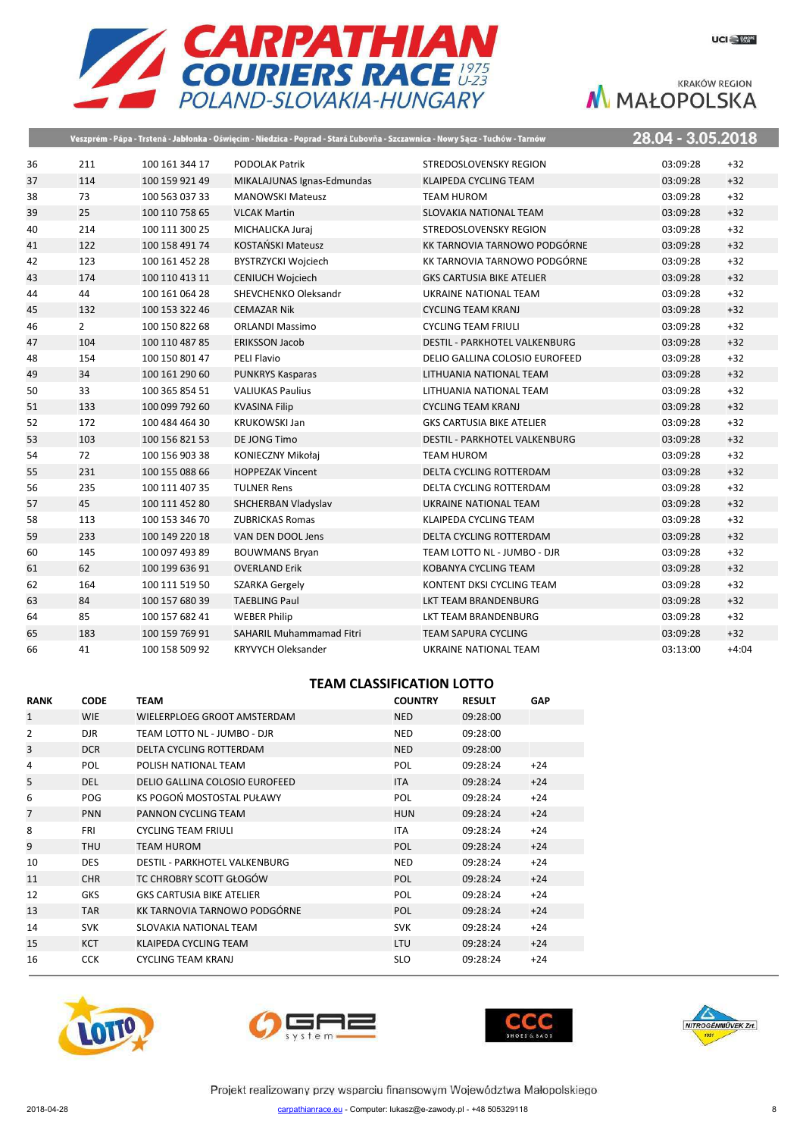

|    |                |                | Veszprém - Pápa - Trstená - Jabłonka - Oświęcim - Niedzica - Poprad - Stará Ľubovňa - Szczawnica - Nowy Sącz - Tuchów - Tarnów |                                      | 28.04 - 3.05.2018 |         |
|----|----------------|----------------|--------------------------------------------------------------------------------------------------------------------------------|--------------------------------------|-------------------|---------|
| 36 | 211            | 100 161 344 17 | <b>PODOLAK Patrik</b>                                                                                                          | STREDOSLOVENSKY REGION               | 03:09:28          | $+32$   |
| 37 | 114            | 100 159 921 49 | MIKALAJUNAS Ignas-Edmundas                                                                                                     | <b>KLAIPEDA CYCLING TEAM</b>         | 03:09:28          | $+32$   |
| 38 | 73             | 100 563 037 33 | <b>MANOWSKI Mateusz</b>                                                                                                        | <b>TEAM HUROM</b>                    | 03:09:28          | $+32$   |
| 39 | 25             | 100 110 758 65 | <b>VLCAK Martin</b>                                                                                                            | SLOVAKIA NATIONAL TEAM               | 03:09:28          | $+32$   |
| 40 | 214            | 100 111 300 25 | MICHALICKA Juraj                                                                                                               | STREDOSLOVENSKY REGION               | 03:09:28          | $+32$   |
| 41 | 122            | 100 158 491 74 | <b>KOSTAŃSKI Mateusz</b>                                                                                                       | KK TARNOVIA TARNOWO PODGÓRNE         | 03:09:28          | $+32$   |
| 42 | 123            | 100 161 452 28 | BYSTRZYCKI Wojciech                                                                                                            | KK TARNOVIA TARNOWO PODGÓRNE         | 03:09:28          | $+32$   |
| 43 | 174            | 100 110 413 11 | CENIUCH Wojciech                                                                                                               | <b>GKS CARTUSIA BIKE ATELIER</b>     | 03:09:28          | $+32$   |
| 44 | 44             | 100 161 064 28 | SHEVCHENKO Oleksandr                                                                                                           | UKRAINE NATIONAL TEAM                | 03:09:28          | $+32$   |
| 45 | 132            | 100 153 322 46 | <b>CEMAZAR Nik</b>                                                                                                             | <b>CYCLING TEAM KRANJ</b>            | 03:09:28          | $+32$   |
| 46 | $\overline{2}$ | 100 150 822 68 | <b>ORLANDI Massimo</b>                                                                                                         | <b>CYCLING TEAM FRIULI</b>           | 03:09:28          | $+32$   |
| 47 | 104            | 100 110 487 85 | <b>ERIKSSON Jacob</b>                                                                                                          | <b>DESTIL - PARKHOTEL VALKENBURG</b> | 03:09:28          | $+32$   |
| 48 | 154            | 100 150 801 47 | PELI Flavio                                                                                                                    | DELIO GALLINA COLOSIO EUROFEED       | 03:09:28          | $+32$   |
| 49 | 34             | 100 161 290 60 | <b>PUNKRYS Kasparas</b>                                                                                                        | LITHUANIA NATIONAL TEAM              | 03:09:28          | $+32$   |
| 50 | 33             | 100 365 854 51 | <b>VALIUKAS Paulius</b>                                                                                                        | LITHUANIA NATIONAL TEAM              | 03:09:28          | $+32$   |
| 51 | 133            | 100 099 792 60 | <b>KVASINA Filip</b>                                                                                                           | <b>CYCLING TEAM KRANJ</b>            | 03:09:28          | $+32$   |
| 52 | 172            | 100 484 464 30 | <b>KRUKOWSKI Jan</b>                                                                                                           | <b>GKS CARTUSIA BIKE ATELIER</b>     | 03:09:28          | $+32$   |
| 53 | 103            | 100 156 821 53 | DE JONG Timo                                                                                                                   | DESTIL - PARKHOTEL VALKENBURG        | 03:09:28          | $+32$   |
| 54 | 72             | 100 156 903 38 | KONIECZNY Mikołaj                                                                                                              | <b>TEAM HUROM</b>                    | 03:09:28          | $+32$   |
| 55 | 231            | 100 155 088 66 | <b>HOPPEZAK Vincent</b>                                                                                                        | DELTA CYCLING ROTTERDAM              | 03:09:28          | $+32$   |
| 56 | 235            | 100 111 407 35 | <b>TULNER Rens</b>                                                                                                             | DELTA CYCLING ROTTERDAM              | 03:09:28          | $+32$   |
| 57 | 45             | 100 111 452 80 | SHCHERBAN Vladyslav                                                                                                            | <b>UKRAINE NATIONAL TEAM</b>         | 03:09:28          | $+32$   |
| 58 | 113            | 100 153 346 70 | <b>ZUBRICKAS Romas</b>                                                                                                         | KLAIPEDA CYCLING TEAM                | 03:09:28          | $+32$   |
| 59 | 233            | 100 149 220 18 | VAN DEN DOOL Jens                                                                                                              | DELTA CYCLING ROTTERDAM              | 03:09:28          | $+32$   |
| 60 | 145            | 100 097 493 89 | <b>BOUWMANS Bryan</b>                                                                                                          | TEAM LOTTO NL - JUMBO - DJR          | 03:09:28          | $+32$   |
| 61 | 62             | 100 199 636 91 | <b>OVERLAND Erik</b>                                                                                                           | <b>KOBANYA CYCLING TEAM</b>          | 03:09:28          | $+32$   |
| 62 | 164            | 100 111 519 50 | <b>SZARKA Gergely</b>                                                                                                          | KONTENT DKSI CYCLING TEAM            | 03:09:28          | $+32$   |
| 63 | 84             | 100 157 680 39 | <b>TAEBLING Paul</b>                                                                                                           | LKT TEAM BRANDENBURG                 | 03:09:28          | $+32$   |
| 64 | 85             | 100 157 682 41 | <b>WEBER Philip</b>                                                                                                            | LKT TEAM BRANDENBURG                 | 03:09:28          | $+32$   |
| 65 | 183            | 100 159 769 91 | <b>SAHARIL Muhammamad Fitri</b>                                                                                                | <b>TEAM SAPURA CYCLING</b>           | 03:09:28          | $+32$   |
| 66 | 41             | 100 158 509 92 | <b>KRYVYCH Oleksander</b>                                                                                                      | UKRAINE NATIONAL TEAM                | 03:13:00          | $+4:04$ |

## **TEAM CLASSIFICATION LOTTO**

| <b>RANK</b>    | <b>CODE</b> | TEAM                             | <b>COUNTRY</b> | <b>RESULT</b> | <b>GAP</b> |
|----------------|-------------|----------------------------------|----------------|---------------|------------|
| $\mathbf{1}$   | <b>WIE</b>  | WIELERPLOEG GROOT AMSTERDAM      | <b>NED</b>     | 09:28:00      |            |
| $\overline{2}$ | <b>DJR</b>  | TEAM LOTTO NL - JUMBO - DJR      | <b>NED</b>     | 09:28:00      |            |
| 3              | <b>DCR</b>  | DELTA CYCLING ROTTERDAM          | <b>NED</b>     | 09:28:00      |            |
| 4              | <b>POL</b>  | POLISH NATIONAL TEAM             | <b>POL</b>     | 09:28:24      | $+24$      |
| 5              | <b>DEL</b>  | DELIO GALLINA COLOSIO EUROFEED   | <b>ITA</b>     | 09:28:24      | $+24$      |
| 6              | <b>POG</b>  | KS POGOŃ MOSTOSTAL PUŁAWY        | <b>POL</b>     | 09:28:24      | $+24$      |
| 7              | <b>PNN</b>  | PANNON CYCLING TEAM              | <b>HUN</b>     | 09:28:24      | $+24$      |
| 8              | <b>FRI</b>  | <b>CYCLING TEAM FRIULI</b>       | <b>ITA</b>     | 09:28:24      | $+24$      |
| 9              | <b>THU</b>  | <b>TEAM HUROM</b>                | <b>POL</b>     | 09:28:24      | $+24$      |
| 10             | <b>DES</b>  | DESTIL - PARKHOTEL VALKENBURG    | <b>NED</b>     | 09:28:24      | $+24$      |
| 11             | <b>CHR</b>  | TC CHROBRY SCOTT GŁOGÓW          | <b>POL</b>     | 09:28:24      | $+24$      |
| 12             | <b>GKS</b>  | <b>GKS CARTUSIA BIKE ATELIER</b> | <b>POL</b>     | 09:28:24      | $+24$      |
| 13             | <b>TAR</b>  | KK TARNOVIA TARNOWO PODGÓRNE     | <b>POL</b>     | 09:28:24      | $+24$      |
| 14             | <b>SVK</b>  | SLOVAKIA NATIONAL TEAM           | <b>SVK</b>     | 09:28:24      | $+24$      |
| 15             | <b>KCT</b>  | KLAIPEDA CYCLING TEAM            | <b>LTU</b>     | 09:28:24      | $+24$      |
| 16             | <b>CCK</b>  | <b>CYCLING TEAM KRANJ</b>        | <b>SLO</b>     | 09:28:24      | $+24$      |







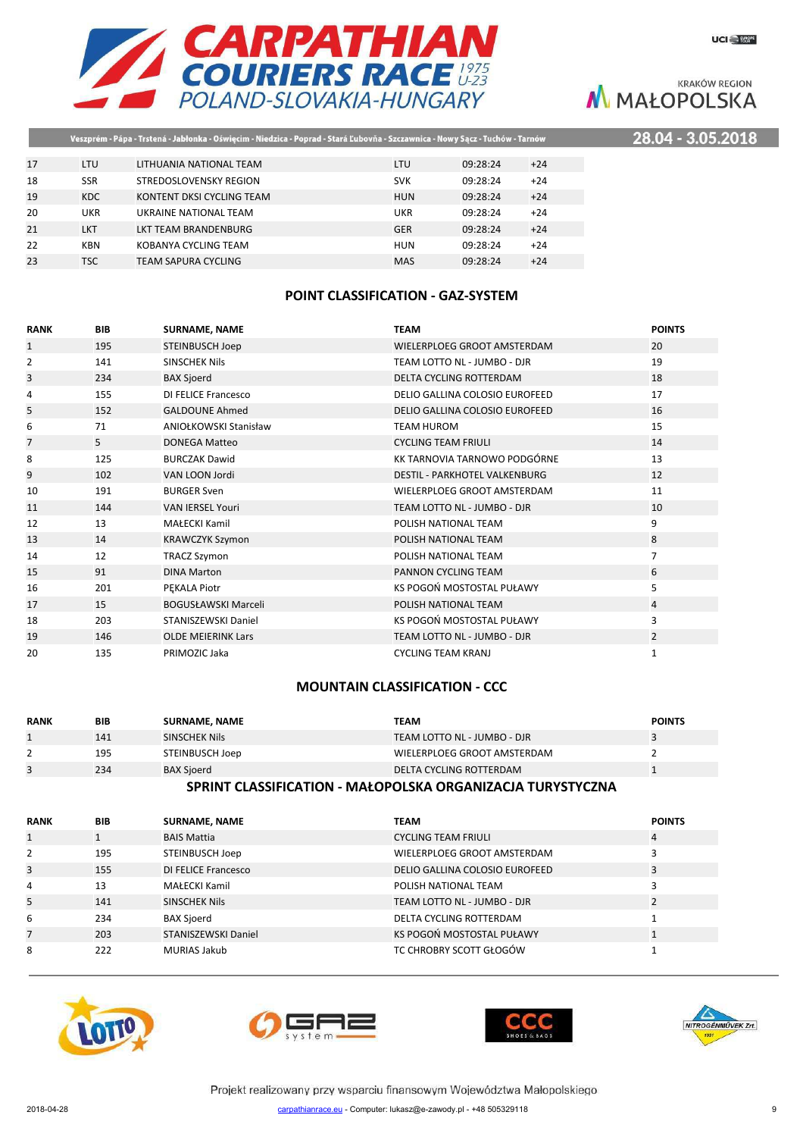

22 KBN KOBANYA CYCLING TEAM **HUN 09:28:24** +24 23 TSC TEAM SAPURA CYCLING MAS MAS 09:28:24 +24 .2018

**KRAKÓW REGION** M MAŁOPOLSKA

|    | Veszprém - Pápa - Trstená - Jabłonka - Oświęcim - Niedzica - Poprad - Stará Ľubovňa - Szczawnica - Nowy Sącz - Tuchów - Tarnów |                           |            |          |       | 28.04 - 3.05 |
|----|--------------------------------------------------------------------------------------------------------------------------------|---------------------------|------------|----------|-------|--------------|
|    |                                                                                                                                |                           |            |          |       |              |
| 17 | <b>LTU</b>                                                                                                                     | LITHUANIA NATIONAL TEAM   | LTU        | 09:28:24 | $+24$ |              |
| 18 | <b>SSR</b>                                                                                                                     | STREDOSLOVENSKY REGION    | <b>SVK</b> | 09:28:24 | $+24$ |              |
| 19 | <b>KDC</b>                                                                                                                     | KONTENT DKSI CYCLING TEAM | <b>HUN</b> | 09:28:24 | $+24$ |              |
| 20 | UKR                                                                                                                            | UKRAINE NATIONAL TEAM     | UKR        | 09:28:24 | $+24$ |              |
| 21 | LKT                                                                                                                            | LKT TEAM BRANDENBURG      | <b>GER</b> | 09:28:24 | $+24$ |              |

### **POINT CLASSIFICATION - GAZ-SYSTEM**

| <b>RANK</b>    | <b>BIB</b> | <b>SURNAME, NAME</b>         | <b>TEAM</b>                          | <b>POINTS</b>  |
|----------------|------------|------------------------------|--------------------------------------|----------------|
| $\mathbf{1}$   | 195        | STEINBUSCH Joep              | WIELERPLOEG GROOT AMSTERDAM          | 20             |
| 2              | 141        | <b>SINSCHEK Nils</b>         | TEAM LOTTO NL - JUMBO - DJR          | 19             |
| 3              | 234        | <b>BAX Sjoerd</b>            | DELTA CYCLING ROTTERDAM              | 18             |
| 4              | 155        | DI FELICE Francesco          | DELIO GALLINA COLOSIO EUROFEED       | 17             |
| 5              | 152        | <b>GALDOUNE Ahmed</b>        | DELIO GALLINA COLOSIO EUROFEED       | 16             |
| 6              | 71         | <b>ANIOŁKOWSKI Stanisław</b> | <b>TEAM HUROM</b>                    | 15             |
| $\overline{7}$ | 5          | <b>DONEGA Matteo</b>         | <b>CYCLING TEAM FRIULI</b>           | 14             |
| 8              | 125        | <b>BURCZAK Dawid</b>         | KK TARNOVIA TARNOWO PODGÓRNE         | 13             |
| 9              | 102        | VAN LOON Jordi               | <b>DESTIL - PARKHOTEL VALKENBURG</b> | 12             |
| 10             | 191        | <b>BURGER Sven</b>           | WIELERPLOEG GROOT AMSTERDAM          | 11             |
| 11             | 144        | <b>VAN IERSEL Youri</b>      | TEAM LOTTO NL - JUMBO - DJR          | 10             |
| 12             | 13         | <b>MAŁECKI Kamil</b>         | POLISH NATIONAL TEAM                 | 9              |
| 13             | 14         | <b>KRAWCZYK Szymon</b>       | POLISH NATIONAL TEAM                 | 8              |
| 14             | 12         | <b>TRACZ Szymon</b>          | POLISH NATIONAL TEAM                 | $\overline{7}$ |
| 15             | 91         | <b>DINA Marton</b>           | PANNON CYCLING TEAM                  | 6              |
| 16             | 201        | PEKALA Piotr                 | KS POGOŃ MOSTOSTAL PUŁAWY            | 5              |
| 17             | 15         | <b>BOGUSŁAWSKI Marceli</b>   | POLISH NATIONAL TEAM                 | 4              |
| 18             | 203        | STANISZEWSKI Daniel          | KS POGOŃ MOSTOSTAL PUŁAWY            | 3              |
| 19             | 146        | <b>OLDE MEIERINK Lars</b>    | TEAM LOTTO NL - JUMBO - DJR          | $\overline{2}$ |
| 20             | 135        | PRIMOZIC Jaka                | <b>CYCLING TEAM KRANJ</b>            | 1              |

# **MOUNTAIN CLASSIFICATION - CCC**

| <b>RANK</b> | BIB | <b>SURNAME, NAME</b> | TEAM                        | <b>POINTS</b> |  |  |
|-------------|-----|----------------------|-----------------------------|---------------|--|--|
|             | 141 | <b>SINSCHEK Nils</b> | TEAM LOTTO NL - JUMBO - DJR |               |  |  |
|             | 195 | STEINBUSCH Joep      | WIELERPLOEG GROOT AMSTERDAM |               |  |  |
|             | 234 | <b>BAX Sjoerd</b>    | DELTA CYCLING ROTTERDAM     |               |  |  |
|             |     |                      |                             |               |  |  |

#### **SPRINT CLASSIFICATION - MAŁOPOLSKA ORGANIZACJA TURYSTYCZNA**

| <b>RANK</b>  | <b>BIB</b> | <b>SURNAME, NAME</b> | <b>TEAM</b>                    | <b>POINTS</b> |
|--------------|------------|----------------------|--------------------------------|---------------|
| $\mathbf{1}$ |            | <b>BAIS Mattia</b>   | <b>CYCLING TEAM FRIULI</b>     | 4             |
| 2            | 195        | STEINBUSCH Joep      | WIELERPLOEG GROOT AMSTERDAM    |               |
| 3            | 155        | DI FELICE Francesco  | DELIO GALLINA COLOSIO EUROFEED | 3             |
| 4            | 13         | MAŁECKI Kamil        | POLISH NATIONAL TEAM           |               |
| 5            | 141        | SINSCHEK Nils        | TEAM LOTTO NL - JUMBO - DJR    |               |
| 6            | 234        | <b>BAX Sjoerd</b>    | DELTA CYCLING ROTTERDAM        |               |
|              | 203        | STANISZEWSKI Daniel  | KS POGOŃ MOSTOSTAL PUŁAWY      |               |
| 8            | 222        | <b>MURIAS Jakub</b>  | TC CHROBRY SCOTT GŁOGÓW        |               |









Projekt realizowany przy wsparciu finansowym Województwa Małopolskiego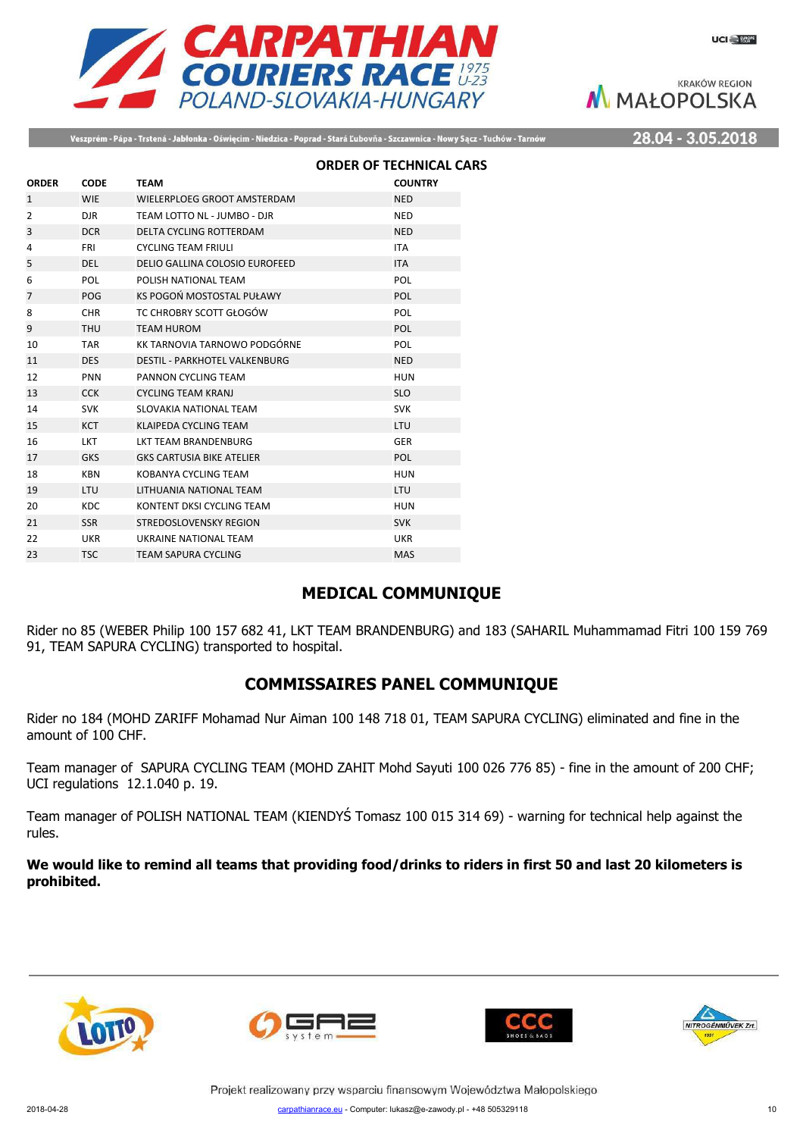

Veszprém - Pápa - Trstená - Jabłonka - Oświęcim - Niedzica - Poprad - Stará Ľubovňa - Szczawnica - Nowy Sącz - Tuchów - Tarnów

28.04 - 3.05.2018

|                |             |                                      | <b>ORDER OF TECHNICAL CARS</b> |  |
|----------------|-------------|--------------------------------------|--------------------------------|--|
| <b>ORDER</b>   | <b>CODE</b> | <b>TEAM</b>                          | <b>COUNTRY</b>                 |  |
| $\mathbf{1}$   | <b>WIE</b>  | WIELERPLOEG GROOT AMSTERDAM          | <b>NED</b>                     |  |
| $\overline{2}$ | <b>DJR</b>  | TEAM LOTTO NL - JUMBO - DJR          | <b>NED</b>                     |  |
| 3              | <b>DCR</b>  | <b>DELTA CYCLING ROTTERDAM</b>       | <b>NED</b>                     |  |
| 4              | <b>FRI</b>  | <b>CYCLING TEAM FRIULI</b>           | <b>ITA</b>                     |  |
| 5              | <b>DEL</b>  | DELIO GALLINA COLOSIO EUROFEED       | <b>ITA</b>                     |  |
| 6              | <b>POL</b>  | POLISH NATIONAL TEAM                 | <b>POL</b>                     |  |
| $\overline{7}$ | POG         | KS POGOŃ MOSTOSTAL PUŁAWY            | <b>POL</b>                     |  |
| 8              | <b>CHR</b>  | TC CHROBRY SCOTT GŁOGÓW              | POL                            |  |
| 9              | <b>THU</b>  | <b>TEAM HUROM</b>                    | <b>POL</b>                     |  |
| 10             | <b>TAR</b>  | KK TARNOVIA TARNOWO PODGÓRNE         | POL                            |  |
| 11             | <b>DES</b>  | <b>DESTIL - PARKHOTEL VALKENBURG</b> | <b>NED</b>                     |  |
| 12             | <b>PNN</b>  | PANNON CYCLING TEAM                  | <b>HUN</b>                     |  |
| 13             | <b>CCK</b>  | <b>CYCLING TEAM KRANJ</b>            | <b>SLO</b>                     |  |
| 14             | <b>SVK</b>  | SLOVAKIA NATIONAL TEAM               | <b>SVK</b>                     |  |
| 15             | <b>KCT</b>  | <b>KLAIPEDA CYCLING TEAM</b>         | <b>LTU</b>                     |  |
| 16             | <b>LKT</b>  | <b>IKT TEAM BRANDENBURG</b>          | <b>GER</b>                     |  |
| 17             | <b>GKS</b>  | <b>GKS CARTUSIA BIKE ATELIER</b>     | <b>POL</b>                     |  |
| 18             | <b>KBN</b>  | KOBANYA CYCLING TEAM                 | <b>HUN</b>                     |  |
| 19             | <b>LTU</b>  | LITHUANIA NATIONAL TEAM              | <b>LTU</b>                     |  |
| 20             | KDC.        | KONTENT DKSI CYCLING TEAM            | <b>HUN</b>                     |  |
| 21             | <b>SSR</b>  | <b>STREDOSLOVENSKY REGION</b>        | <b>SVK</b>                     |  |
| 22             | <b>UKR</b>  | UKRAINE NATIONAL TEAM                | <b>UKR</b>                     |  |
| 23             | <b>TSC</b>  | <b>TEAM SAPURA CYCLING</b>           | <b>MAS</b>                     |  |

# **MEDICAL COMMUNIQUE**

Rider no 85 (WEBER Philip 100 157 682 41, LKT TEAM BRANDENBURG) and 183 (SAHARIL Muhammamad Fitri 100 159 769 91, TEAM SAPURA CYCLING) transported to hospital.

# **COMMISSAIRES PANEL COMMUNIQUE**

Rider no 184 (MOHD ZARIFF Mohamad Nur Aiman 100 148 718 01, TEAM SAPURA CYCLING) eliminated and fine in the amount of 100 CHF.

Team manager of SAPURA CYCLING TEAM (MOHD ZAHIT Mohd Sayuti 100 026 776 85) - fine in the amount of 200 CHF; UCI regulations 12.1.040 p. 19.

Team manager of POLISH NATIONAL TEAM (KIENDYŚ Tomasz 100 015 314 69) - warning for technical help against the rules.

**We would like to remind all teams that providing food/drinks to riders in first 50 and last 20 kilometers is prohibited.**









Projekt realizowany przy wsparciu finansowym Województwa Małopolskiego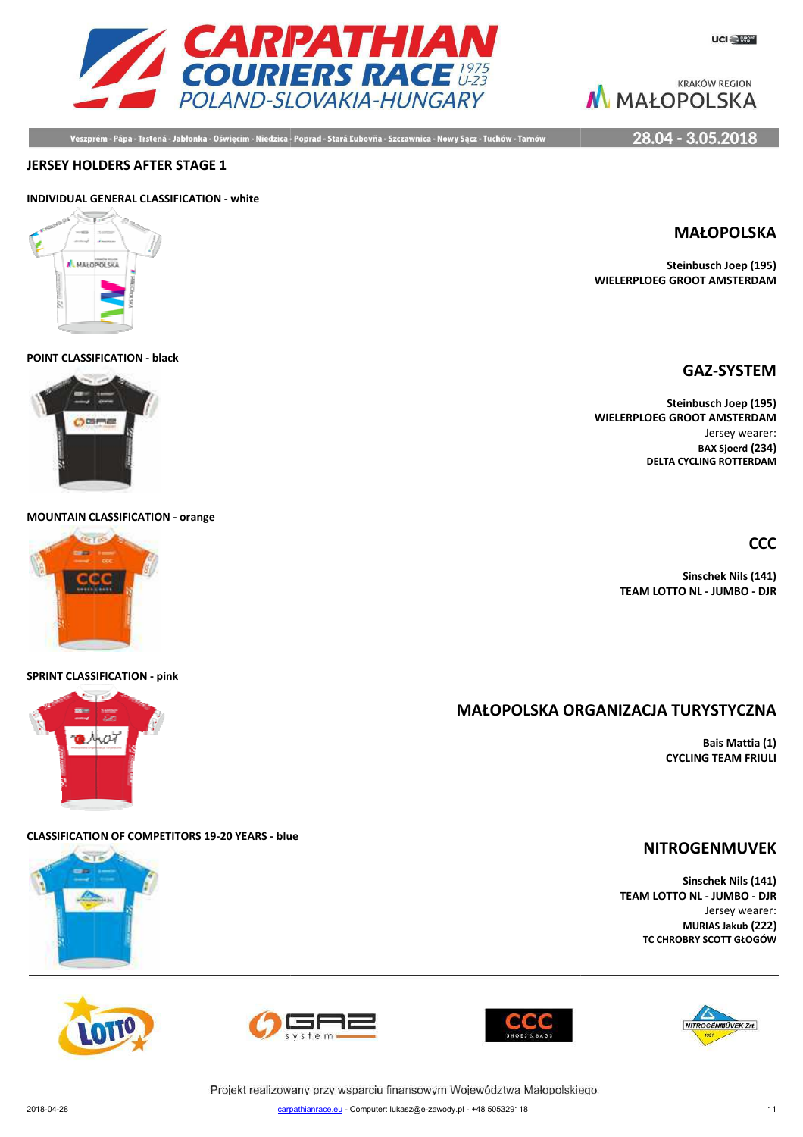

Veszprém - Pápa - Trstená - Jabłonka - Oświęcim - Niedzica - Poprad - Stará Ľubovňa - Szczawnica - Nowy Sącz - Tuchów - Tarnów

**KRAKÓW REGION** M MAŁOPOLSKA

28.04 - 3.05.2018

#### **JERSEY HOLDERS AFTER STAGE 1**

### **INDIVIDUAL GENERAL CLASSIFICATION - white**



#### **POINT CLASSIFICATION - black**



**MOUNTAIN CLASSIFICATION - orange**

#### **SPRINT CLASSIFICATION - pink**

# **MAŁOPOLSKA ORG ORGANIZACJA TURYSTYCZNA**

**Bais Mattia (1) CYCLING TEAM FRIULI**

#### **CLASSIFICATION OF COMPETITORS 19-20 YEARS - blue**





**Sinschek Nils (141) TEAM LOTTO NL - JUMBO - DJR** Jersey wearer: **MURIAS Jakub (222) TC CHROBRY SCOTT GŁOGÓW**

NITROGÉNMŰVEK Zrt.







Projekt realizowany przy wsparciu finansowym Województwa Małopolskiego carpathianrace.eu - Computer: lukasz@e-zawody.pl - +48 505329118 2018-04-28 carpa

**Steinbusch Joep (195) WIELERPLOEG GROOT AMSTERDAM**

## **GAZ-SYSTEM**

**Steinbusch Joep (195) WIELERPLOEG GROOT AMSTERDAM** Jersey wearer: **BAX Sjoerd (234) DELTA CYCLING ROTTERDAM**

**CCC**

**Sinschek Nils (141)**

**TEAM LOTTO NL - JUMBO - DJR**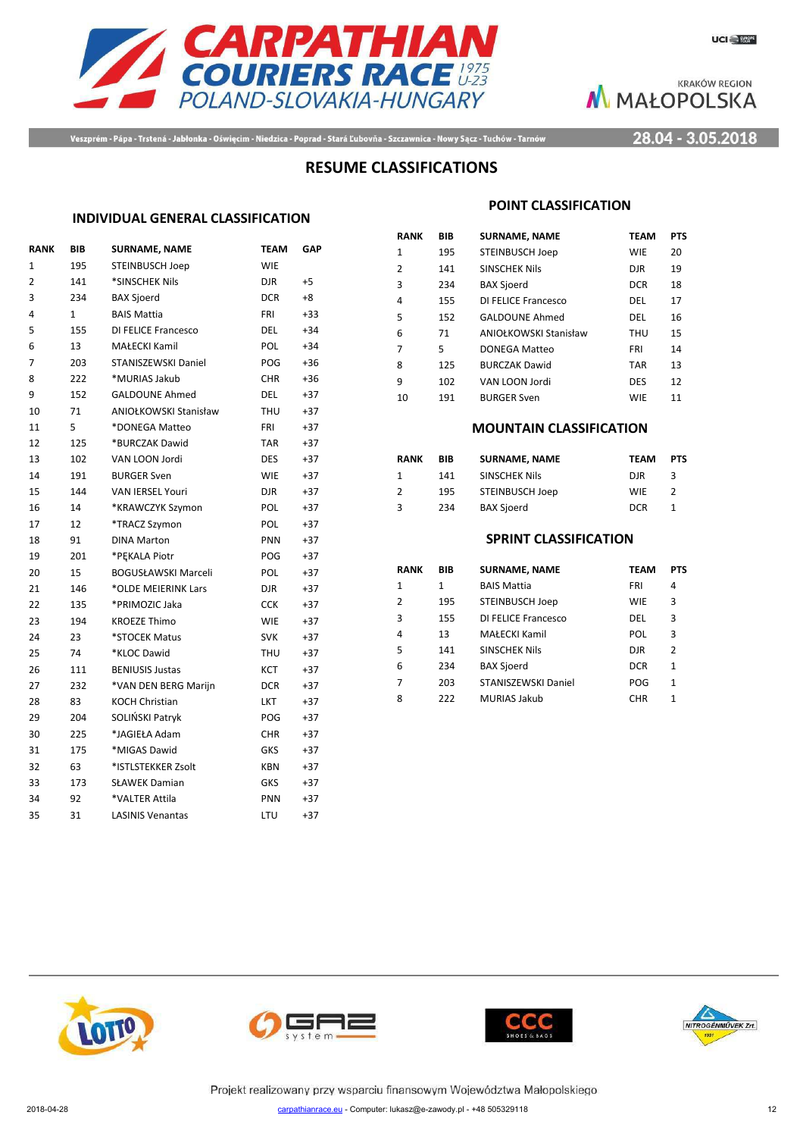



Veszprém - Pápa - Trstená - Jabłonka - Oświęcim - Niedzica - Poprad - Stará Ľubovňa - Szczawnica - Nowy Sącz - Tuchów - Tarnów

28.04 - 3.05.2018

# **RESUME CLASSIFICATIONS**

#### **INDIVIDUAL GENERAL CLASSIFICATION**

| <b>RANK</b>    | <b>BIB</b>   | <b>SURNAME, NAME</b>         | <b>TEAM</b> | <b>GAP</b> |
|----------------|--------------|------------------------------|-------------|------------|
| $\mathbf{1}$   | 195          | <b>STEINBUSCH Joep</b>       | <b>WIE</b>  |            |
| $\overline{2}$ | 141          | *SINSCHEK Nils               | <b>DJR</b>  | $+5$       |
| 3              | 234          | <b>BAX Sjoerd</b>            | <b>DCR</b>  | $+8$       |
| 4              | $\mathbf{1}$ | <b>BAIS Mattia</b>           | <b>FRI</b>  | $+33$      |
| 5              | 155          | DI FELICE Francesco          | DEL         | $+34$      |
| 6              | 13           | <b>MAŁECKI Kamil</b>         | POL         | $+34$      |
| 7              | 203          | <b>STANISZEWSKI Daniel</b>   | POG         | $+36$      |
| 8              | 222          | *MURIAS Jakub                | <b>CHR</b>  | $+36$      |
| 9              | 152          | <b>GALDOUNE Ahmed</b>        | <b>DEL</b>  | $+37$      |
| 10             | 71           | <b>ANIOŁKOWSKI Stanisław</b> | <b>THU</b>  | $+37$      |
| 11             | 5            | *DONEGA Matteo               | <b>FRI</b>  | $+37$      |
| 12             | 125          | *BURCZAK Dawid               | <b>TAR</b>  | $+37$      |
| 13             | 102          | VAN LOON Jordi               | <b>DES</b>  | $+37$      |
| 14             | 191          | <b>BURGER Sven</b>           | <b>WIE</b>  | $+37$      |
| 15             | 144          | <b>VAN IERSEL Youri</b>      | <b>DJR</b>  | $+37$      |
| 16             | 14           | *KRAWCZYK Szymon             | POL         | $+37$      |
| 17             | 12           | *TRACZ Szymon                | POL         | $+37$      |
| 18             | 91           | <b>DINA Marton</b>           | PNN         | $+37$      |
| 19             | 201          | *PEKALA Piotr                | POG         | +37        |
| 20             | 15           | <b>BOGUSŁAWSKI Marceli</b>   | POL         | $+37$      |
| 21             | 146          | *OLDE MEIERINK Lars          | <b>DJR</b>  | $+37$      |
| 22             | 135          | *PRIMOZIC Jaka               | <b>CCK</b>  | $+37$      |
| 23             | 194          | <b>KROEZE Thimo</b>          | <b>WIE</b>  | $+37$      |
| 24             | 23           | *STOCEK Matus                | <b>SVK</b>  | $+37$      |
| 25             | 74           | *KLOC Dawid                  | <b>THU</b>  | $+37$      |
| 26             | 111          | <b>BENIUSIS Justas</b>       | KCT         | $+37$      |
| 27             | 232          | *VAN DEN BERG Marijn         | <b>DCR</b>  | $+37$      |
| 28             | 83           | <b>KOCH Christian</b>        | <b>LKT</b>  | $+37$      |
| 29             | 204          | SOLIŃSKI Patryk              | POG         | $+37$      |
| 30             | 225          | *JAGIEŁA Adam                | <b>CHR</b>  | $+37$      |
| 31             | 175          | *MIGAS Dawid                 | GKS         | $+37$      |
| 32             | 63           | *ISTLSTEKKER Zsolt           | <b>KBN</b>  | +37        |
| 33             | 173          | <b>SŁAWEK Damian</b>         | <b>GKS</b>  | $+37$      |
| 34             | 92           | *VALTER Attila               | PNN         | $+37$      |
| 35             | 31           | <b>LASINIS Venantas</b>      | LTU         | $+37$      |
|                |              |                              |             |            |

#### **POINT CLASSIFICATION**

| RANK | BIB | <b>SURNAME, NAME</b>   | <b>TEAM</b> | <b>PTS</b> |
|------|-----|------------------------|-------------|------------|
| 1    | 195 | <b>STEINBUSCH Joep</b> | <b>WIE</b>  | 20         |
| 2    | 141 | <b>SINSCHEK Nils</b>   | <b>DJR</b>  | 19         |
| 3    | 234 | <b>BAX Sjoerd</b>      | <b>DCR</b>  | 18         |
| 4    | 155 | DI FELICE Francesco    | DEL         | 17         |
| 5    | 152 | <b>GALDOUNE Ahmed</b>  | DEL         | 16         |
| 6    | 71  | ANIOŁKOWSKI Stanisław  | THU         | 15         |
| 7    | 5   | <b>DONEGA Matteo</b>   | <b>FRI</b>  | 14         |
| 8    | 125 | <b>BURCZAK Dawid</b>   | <b>TAR</b>  | 13         |
| 9    | 102 | VAN LOON Jordi         | <b>DES</b>  | 12         |
| 10   | 191 | <b>BURGER Sven</b>     | <b>WIE</b>  | 11         |

#### **MOUNTAIN CLASSIFICATION**

| RANK | BIB | <b>SURNAME, NAME</b> | <b>TEAM</b> | <b>PTS</b> |
|------|-----|----------------------|-------------|------------|
| 1    | 141 | <b>SINSCHEK Nils</b> | DIR         | З          |
| 2    | 195 | STEINBUSCH Joep      | <b>WIF</b>  |            |
| 3    | 234 | <b>BAX Sjoerd</b>    | <b>DCR</b>  |            |

### **SPRINT CLASSIFICATION**

| RANK | BIB | <b>SURNAME, NAME</b>   | TEAM       | <b>PTS</b> |
|------|-----|------------------------|------------|------------|
| 1    | 1   | <b>BAIS Mattia</b>     | FRI        | 4          |
| 2    | 195 | <b>STEINBUSCH Joep</b> | <b>WIE</b> | 3          |
| 3    | 155 | DI FELICE Francesco    | DEL        | 3          |
| 4    | 13  | <b>MAŁECKI Kamil</b>   | <b>POL</b> | 3          |
| 5    | 141 | <b>SINSCHEK Nils</b>   | <b>DJR</b> | 2          |
| 6    | 234 | <b>BAX Sjoerd</b>      | <b>DCR</b> | 1          |
| 7    | 203 | STANISZEWSKI Daniel    | POG        | 1          |
| 8    | 222 | <b>MURIAS Jakub</b>    | <b>CHR</b> | 1          |
|      |     |                        |            |            |









Projekt realizowany przy wsparciu finansowym Województwa Małopolskiego